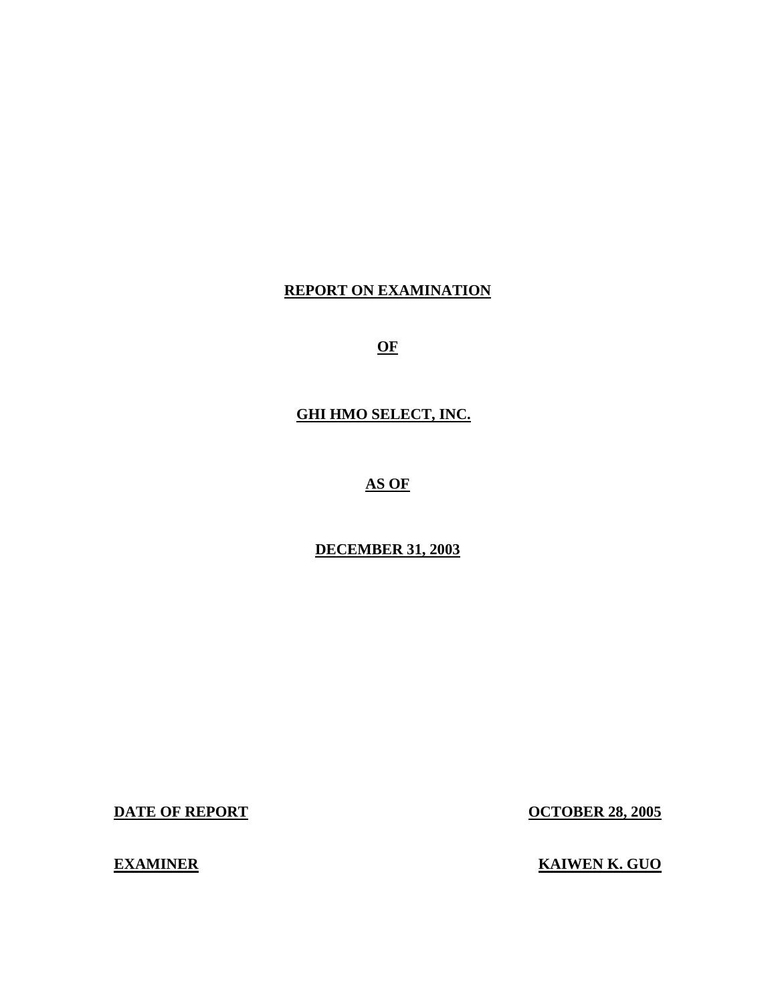# **REPORT ON EXAMINATION**

**OF** 

**GHI HMO SELECT, INC. AS OF** 

## **DECEMBER 31, 2003**

**DATE OF REPORT OCTOBER 28, 2005** 

**EXAMINER KAIWEN K. GUO**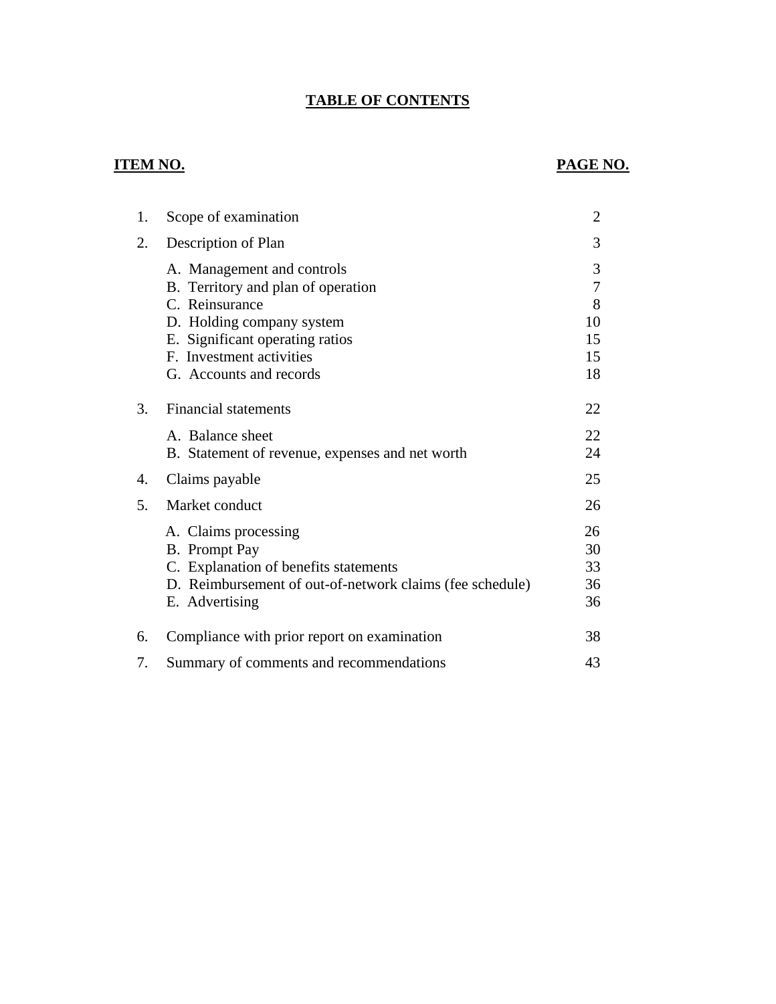# **TABLE OF CONTENTS**

# **ITEM NO.**

# **PAGE NO.**

| 1. | Scope of examination                                                                                                                                         | $\overline{2}$             |
|----|--------------------------------------------------------------------------------------------------------------------------------------------------------------|----------------------------|
| 2. | Description of Plan                                                                                                                                          | 3                          |
|    | A. Management and controls<br>B. Territory and plan of operation<br>C. Reinsurance                                                                           | 3<br>$\overline{7}$<br>8   |
|    | D. Holding company system                                                                                                                                    | 10                         |
|    | E. Significant operating ratios                                                                                                                              | 15                         |
|    | F. Investment activities                                                                                                                                     | 15                         |
|    | G. Accounts and records                                                                                                                                      | 18                         |
| 3. | Financial statements                                                                                                                                         | 22                         |
|    | A. Balance sheet<br>B. Statement of revenue, expenses and net worth                                                                                          | 22<br>24                   |
| 4. | Claims payable                                                                                                                                               | 25                         |
| 5. | Market conduct                                                                                                                                               | 26                         |
|    | A. Claims processing<br>B. Prompt Pay<br>C. Explanation of benefits statements<br>D. Reimbursement of out-of-network claims (fee schedule)<br>E. Advertising | 26<br>30<br>33<br>36<br>36 |
| 6. | Compliance with prior report on examination                                                                                                                  | 38                         |
| 7. | Summary of comments and recommendations                                                                                                                      | 43                         |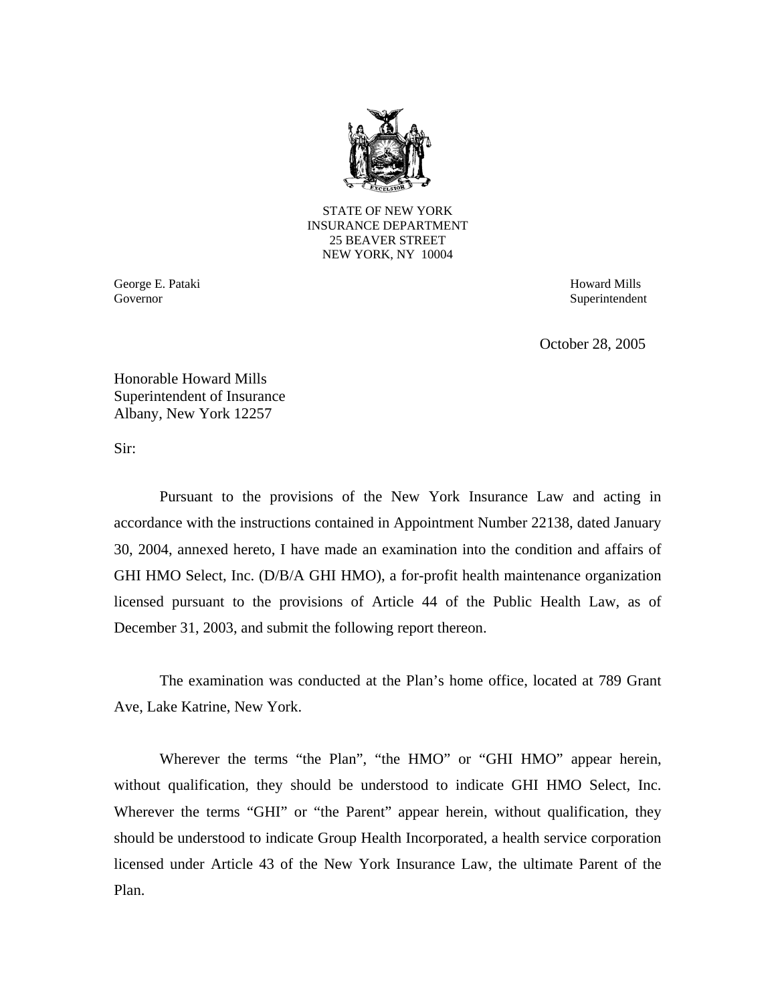

STATE OF NEW YORK INSURANCE DEPARTMENT 25 BEAVER STREET NEW YORK, NY 10004

George E. Pataki **Howard Mills** Governor

Superintendent

October 28, 2005

Honorable Howard Mills Superintendent of Insurance Albany, New York 12257

Sir:

Pursuant to the provisions of the New York Insurance Law and acting in accordance with the instructions contained in Appointment Number 22138, dated January 30, 2004, annexed hereto, I have made an examination into the condition and affairs of GHI HMO Select, Inc. (D/B/A GHI HMO), a for-profit health maintenance organization licensed pursuant to the provisions of Article 44 of the Public Health Law, as of December 31, 2003, and submit the following report thereon.

The examination was conducted at the Plan's home office, located at 789 Grant Ave, Lake Katrine, New York.

Wherever the terms "the Plan", "the HMO" or "GHI HMO" appear herein, without qualification, they should be understood to indicate GHI HMO Select, Inc. Wherever the terms "GHI" or "the Parent" appear herein, without qualification, they should be understood to indicate Group Health Incorporated, a health service corporation licensed under Article 43 of the New York Insurance Law, the ultimate Parent of the Plan.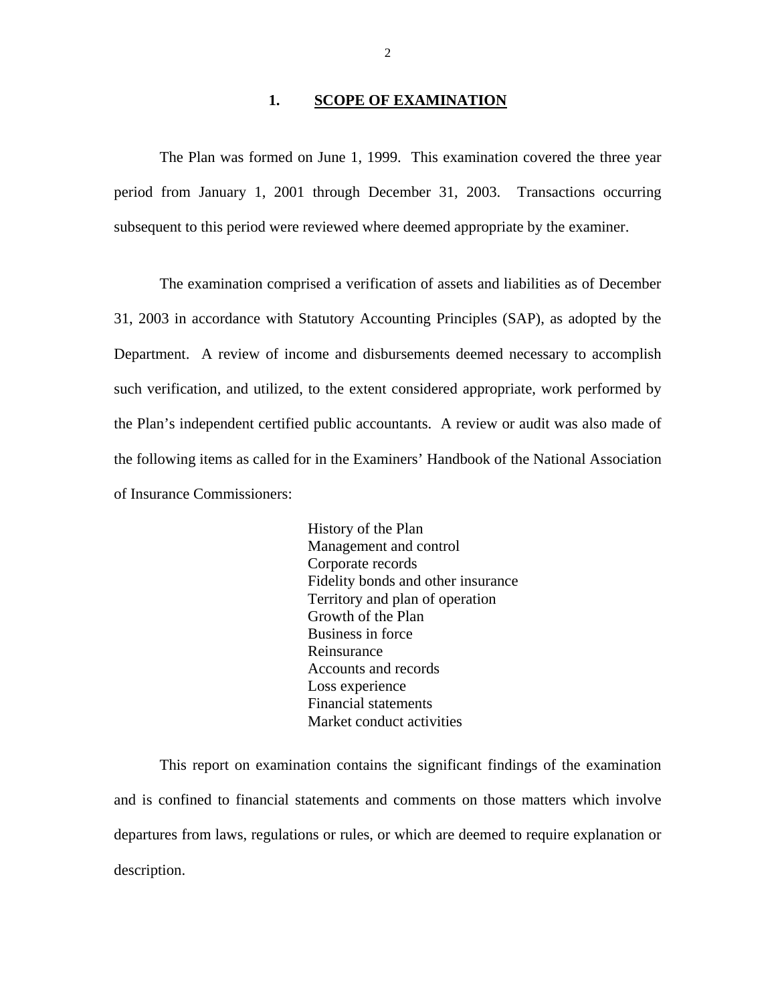#### 1. **SCOPE OF EXAMINATION**

<span id="page-3-0"></span>The Plan was formed on June 1, 1999. This examination covered the three year period from January 1, 2001 through December 31, 2003. Transactions occurring subsequent to this period were reviewed where deemed appropriate by the examiner.

The examination comprised a verification of assets and liabilities as of December 31, 2003 in accordance with Statutory Accounting Principles (SAP), as adopted by the Department. A review of income and disbursements deemed necessary to accomplish such verification, and utilized, to the extent considered appropriate, work performed by the Plan's independent certified public accountants. A review or audit was also made of the following items as called for in the Examiners' Handbook of the National Association of Insurance Commissioners:

> History of the Plan Management and control Corporate records Fidelity bonds and other insurance Territory and plan of operation Growth of the Plan Business in force Reinsurance Accounts and records Loss experience Financial statements Market conduct activities

This report on examination contains the significant findings of the examination and is confined to financial statements and comments on those matters which involve departures from laws, regulations or rules, or which are deemed to require explanation or description.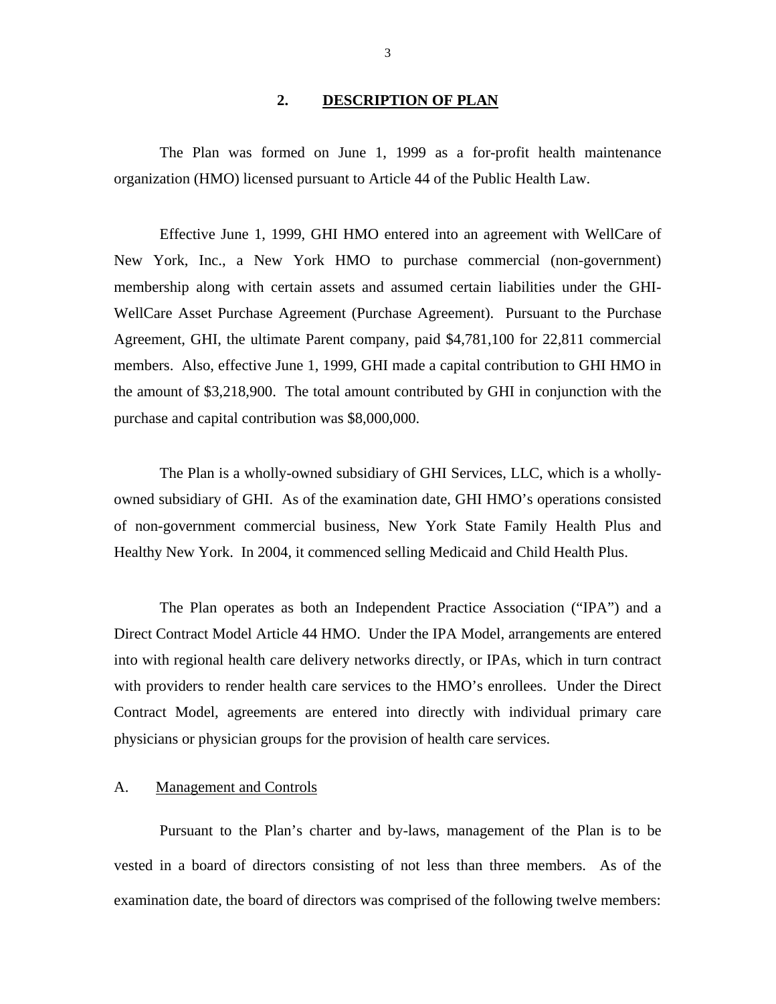#### **2. DESCRIPTION OF PLAN**

<span id="page-4-0"></span>The Plan was formed on June 1, 1999 as a for-profit health maintenance organization (HMO) licensed pursuant to Article 44 of the Public Health Law.

Effective June 1, 1999, GHI HMO entered into an agreement with WellCare of New York, Inc., a New York HMO to purchase commercial (non-government) membership along with certain assets and assumed certain liabilities under the GHI-WellCare Asset Purchase Agreement (Purchase Agreement). Pursuant to the Purchase Agreement, GHI, the ultimate Parent company, paid \$4,781,100 for 22,811 commercial members. Also, effective June 1, 1999, GHI made a capital contribution to GHI HMO in the amount of \$3,218,900. The total amount contributed by GHI in conjunction with the purchase and capital contribution was \$8,000,000.

The Plan is a wholly-owned subsidiary of GHI Services, LLC, which is a whollyowned subsidiary of GHI. As of the examination date, GHI HMO's operations consisted of non-government commercial business, New York State Family Health Plus and Healthy New York. In 2004, it commenced selling Medicaid and Child Health Plus.

The Plan operates as both an Independent Practice Association ("IPA") and a Direct Contract Model Article 44 HMO. Under the IPA Model, arrangements are entered into with regional health care delivery networks directly, or IPAs, which in turn contract with providers to render health care services to the HMO's enrollees. Under the Direct Contract Model, agreements are entered into directly with individual primary care physicians or physician groups for the provision of health care services.

#### A. Management and Controls

Pursuant to the Plan's charter and by-laws, management of the Plan is to be vested in a board of directors consisting of not less than three members. As of the examination date, the board of directors was comprised of the following twelve members: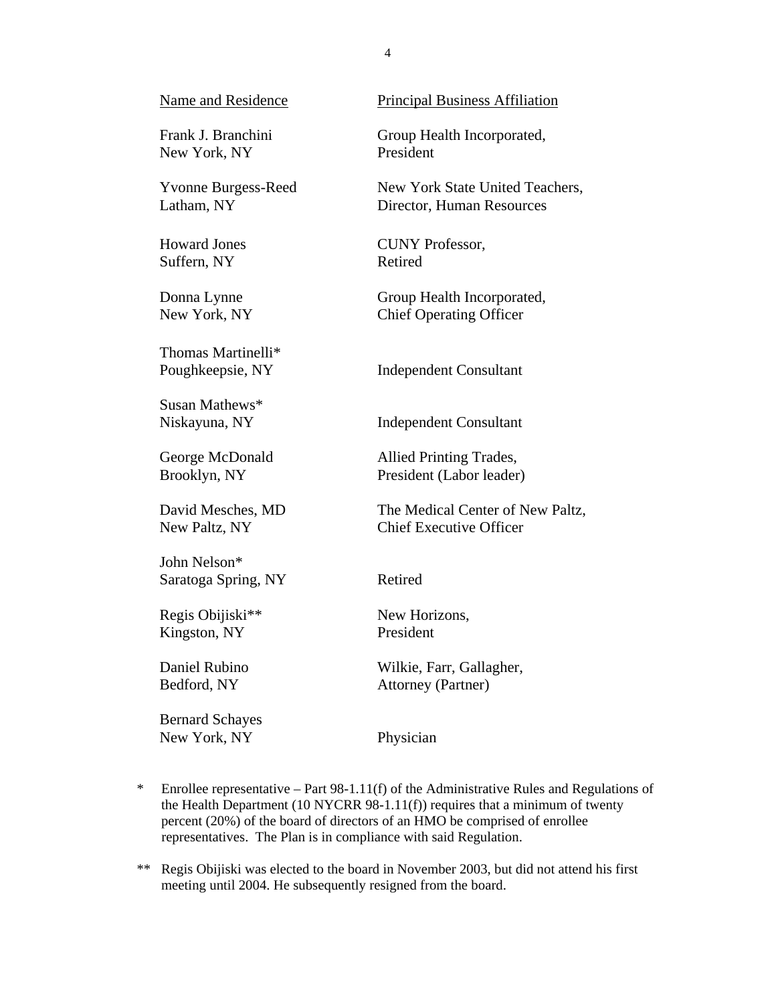New York, NY President

Suffern, NY Retired

Thomas Martinelli\*

Susan Mathews\*

John Nelson\* Saratoga Spring, NY Retired

Regis Obijiski<sup>\*\*</sup> New Horizons, Kingston, NY President

Bernard Schayes New York, NY Physician

Name and Residence Principal Business Affiliation

Frank J. Branchini Group Health Incorporated,

Yvonne Burgess-Reed New York State United Teachers, Latham, NY Director, Human Resources

Howard Jones CUNY Professor,

Donna Lynne Group Health Incorporated, New York, NY Chief Operating Officer

Poughkeepsie, NY Independent Consultant

Niskayuna, NY Independent Consultant

George McDonald Allied Printing Trades, Brooklyn, NY President (Labor leader)

David Mesches, MD The Medical Center of New Paltz, New Paltz, NY Chief Executive Officer

Daniel Rubino Wilkie, Farr, Gallagher, Bedford, NY Attorney (Partner)

- the Health Department (10 NYCRR 98-1.11(f)) requires that a minimum of twenty \* Enrollee representative – Part 98-1.11(f) of the Administrative Rules and Regulations of percent (20%) of the board of directors of an HMO be comprised of enrollee representatives. The Plan is in compliance with said Regulation.
- \*\* Regis Obijiski was elected to the board in November 2003, but did not attend his first meeting until 2004. He subsequently resigned from the board.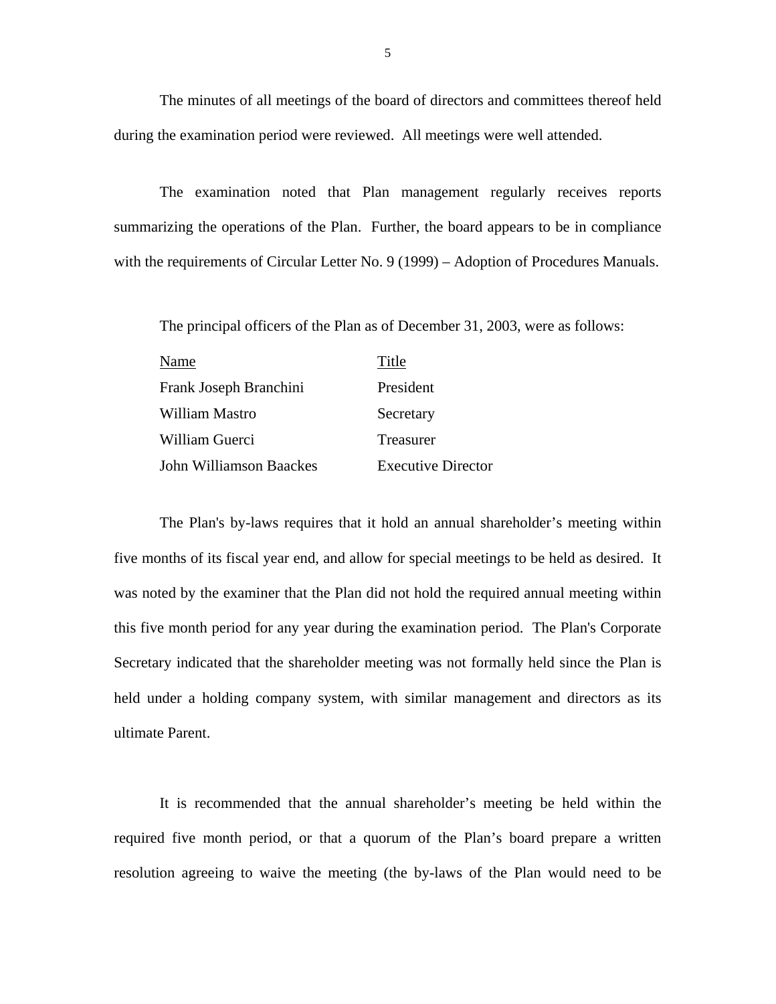The minutes of all meetings of the board of directors and committees thereof held during the examination period were reviewed. All meetings were well attended.

The examination noted that Plan management regularly receives reports summarizing the operations of the Plan. Further, the board appears to be in compliance with the requirements of Circular Letter No. 9 (1999) – Adoption of Procedures Manuals.

The principal officers of the Plan as of December 31, 2003, were as follows:

| Name                    | Title              |
|-------------------------|--------------------|
| Frank Joseph Branchini  | President          |
| William Mastro          | Secretary          |
| William Guerci          | Treasurer          |
| John Williamson Baackes | Executive Director |

ultimate Parent. The Plan's by-laws requires that it hold an annual shareholder's meeting within five months of its fiscal year end, and allow for special meetings to be held as desired. It was noted by the examiner that the Plan did not hold the required annual meeting within this five month period for any year during the examination period. The Plan's Corporate Secretary indicated that the shareholder meeting was not formally held since the Plan is held under a holding company system, with similar management and directors as its

It is recommended that the annual shareholder's meeting be held within the required five month period, or that a quorum of the Plan's board prepare a written resolution agreeing to waive the meeting (the by-laws of the Plan would need to be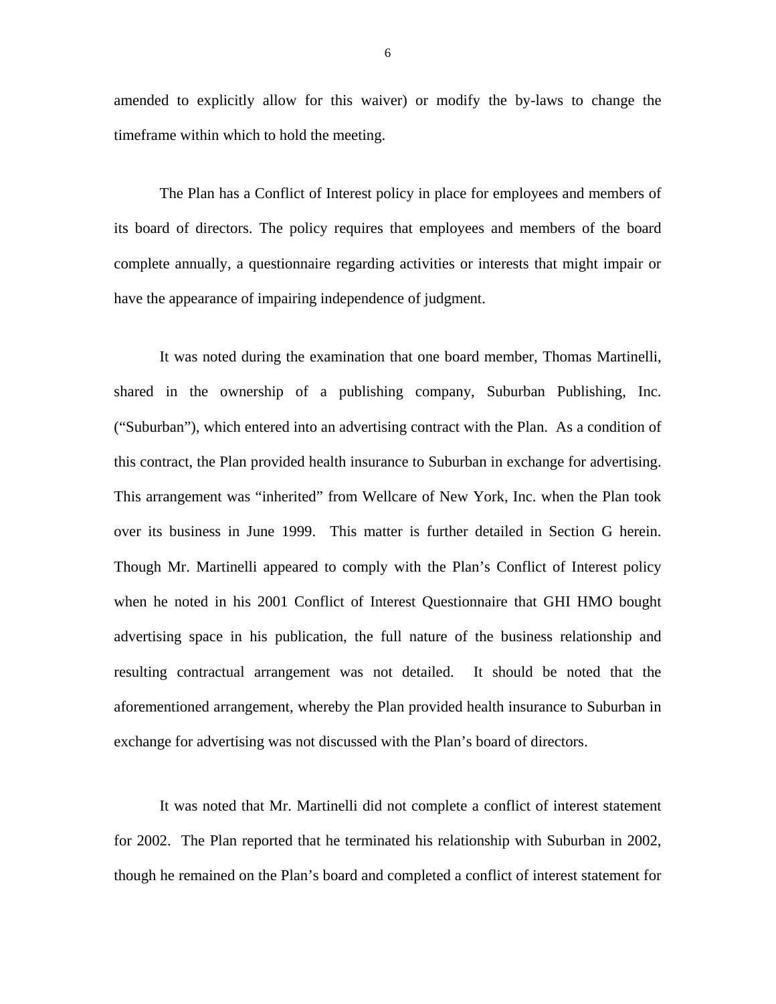amended to explicitly allow for this waiver) or modify the by-laws to change the timeframe within which to hold the meeting.

The Plan has a Conflict of Interest policy in place for employees and members of its board of directors. The policy requires that employees and members of the board complete annually, a questionnaire regarding activities or interests that might impair or have the appearance of impairing independence of judgment.

It was noted during the examination that one board member, Thomas Martinelli, shared in the ownership of a publishing company, Suburban Publishing, Inc. ("Suburban"), which entered into an advertising contract with the Plan. As a condition of this contract, the Plan provided health insurance to Suburban in exchange for advertising. This arrangement was "inherited" from Wellcare of New York, Inc. when the Plan took over its business in June 1999. This matter is further detailed in Section G herein. Though Mr. Martinelli appeared to comply with the Plan's Conflict of Interest policy when he noted in his 2001 Conflict of Interest Questionnaire that GHI HMO bought advertising space in his publication, the full nature of the business relationship and resulting contractual arrangement was not detailed. It should be noted that the aforementioned arrangement, whereby the Plan provided health insurance to Suburban in exchange for advertising was not discussed with the Plan's board of directors.

It was noted that Mr. Martinelli did not complete a conflict of interest statement for 2002. The Plan reported that he terminated his relationship with Suburban in 2002, though he remained on the Plan's board and completed a conflict of interest statement for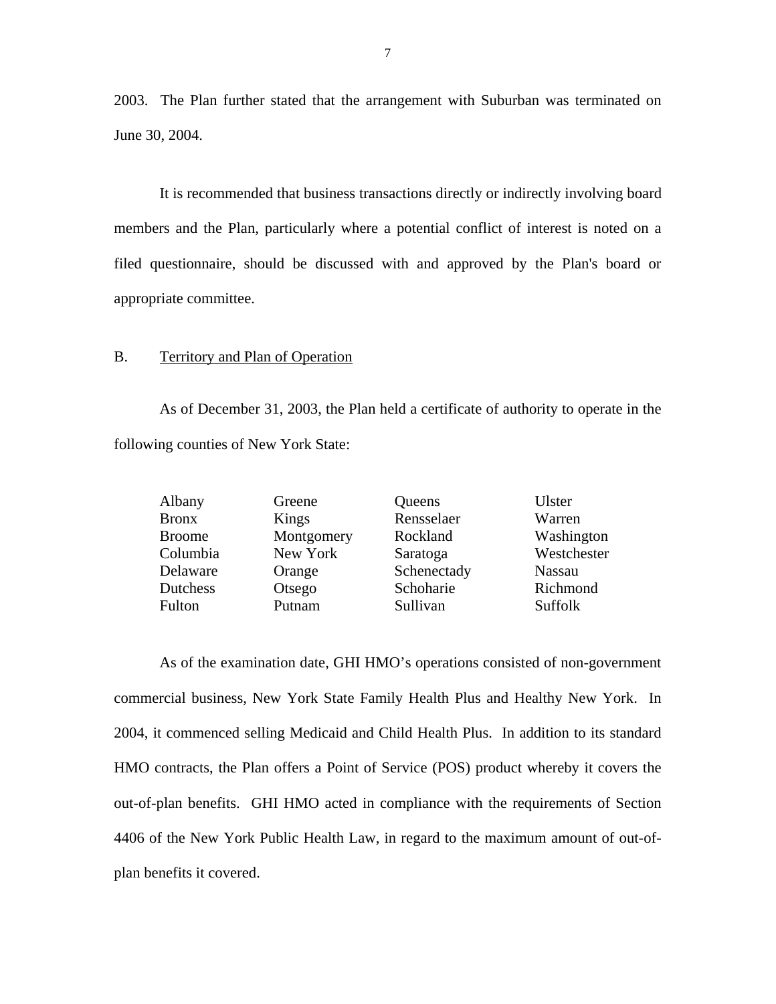2003. The Plan further stated that the arrangement with Suburban was terminated on June 30, 2004.

It is recommended that business transactions directly or indirectly involving board members and the Plan, particularly where a potential conflict of interest is noted on a filed questionnaire, should be discussed with and approved by the Plan's board or appropriate committee.

#### B. Territory and Plan of Operation

As of December 31, 2003, the Plan held a certificate of authority to operate in the following counties of New York State:

| Albany        | Greene     | Queens      | Ulster        |
|---------------|------------|-------------|---------------|
| <b>Bronx</b>  | Kings      | Rensselaer  | Warren        |
| <b>Broome</b> | Montgomery | Rockland    | Washington    |
| Columbia      | New York   | Saratoga    | Westchester   |
| Delaware      | Orange     | Schenectady | <b>Nassau</b> |
| Dutchess      | Otsego     | Schoharie   | Richmond      |
| Fulton        | Putnam     | Sullivan    | Suffolk       |

As of the examination date, GHI HMO's operations consisted of non-government commercial business, New York State Family Health Plus and Healthy New York. In 2004, it commenced selling Medicaid and Child Health Plus. In addition to its standard HMO contracts, the Plan offers a Point of Service (POS) product whereby it covers the out-of-plan benefits. GHI HMO acted in compliance with the requirements of Section 4406 of the New York Public Health Law, in regard to the maximum amount of out-ofplan benefits it covered.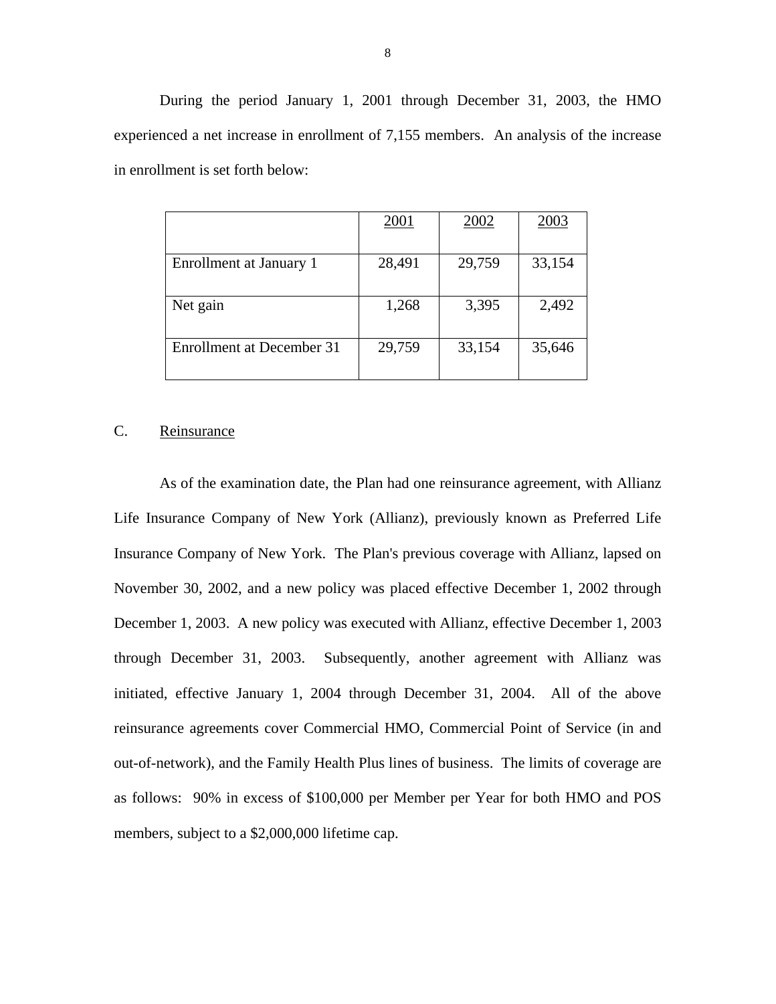During the period January 1, 2001 through December 31, 2003, the HMO experienced a net increase in enrollment of 7,155 members. An analysis of the increase in enrollment is set forth below:

|                           | 2001   | 2002   | 2003   |
|---------------------------|--------|--------|--------|
| Enrollment at January 1   | 28,491 | 29,759 | 33,154 |
| Net gain                  | 1,268  | 3,395  | 2,492  |
| Enrollment at December 31 | 29,759 | 33,154 | 35,646 |

#### C. Reinsurance

 as follows: 90% in excess of \$100,000 per Member per Year for both HMO and POS As of the examination date, the Plan had one reinsurance agreement, with Allianz Life Insurance Company of New York (Allianz), previously known as Preferred Life Insurance Company of New York. The Plan's previous coverage with Allianz, lapsed on November 30, 2002, and a new policy was placed effective December 1, 2002 through December 1, 2003. A new policy was executed with Allianz, effective December 1, 2003 through December 31, 2003. Subsequently, another agreement with Allianz was initiated, effective January 1, 2004 through December 31, 2004. All of the above reinsurance agreements cover Commercial HMO, Commercial Point of Service (in and out-of-network), and the Family Health Plus lines of business. The limits of coverage are members, subject to a \$2,000,000 lifetime cap.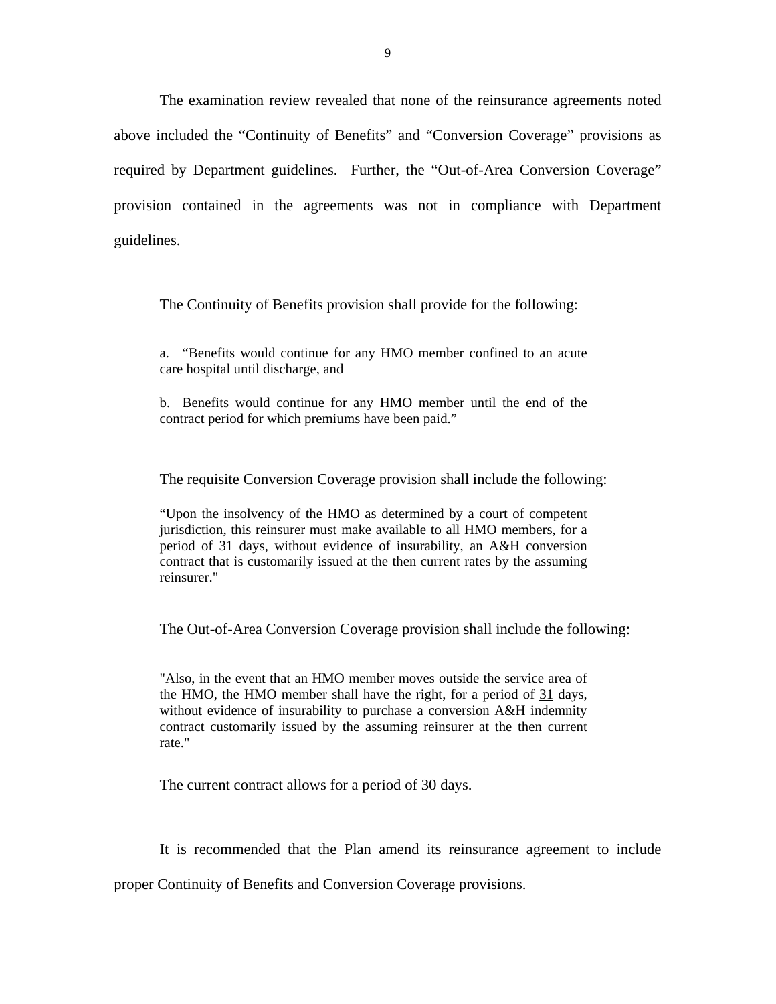The examination review revealed that none of the reinsurance agreements noted above included the "Continuity of Benefits" and "Conversion Coverage" provisions as required by Department guidelines. Further, the "Out-of-Area Conversion Coverage" provision contained in the agreements was not in compliance with Department guidelines.

The Continuity of Benefits provision shall provide for the following:

a. "Benefits would continue for any HMO member confined to an acute care hospital until discharge, and

b. Benefits would continue for any HMO member until the end of the contract period for which premiums have been paid."

The requisite Conversion Coverage provision shall include the following:

"Upon the insolvency of the HMO as determined by a court of competent jurisdiction, this reinsurer must make available to all HMO members, for a period of 31 days, without evidence of insurability, an A&H conversion contract that is customarily issued at the then current rates by the assuming reinsurer."

The Out-of-Area Conversion Coverage provision shall include the following:

"Also, in the event that an HMO member moves outside the service area of the HMO, the HMO member shall have the right, for a period of 31 days, without evidence of insurability to purchase a conversion A&H indemnity contract customarily issued by the assuming reinsurer at the then current rate."

The current contract allows for a period of 30 days.

It is recommended that the Plan amend its reinsurance agreement to include

proper Continuity of Benefits and Conversion Coverage provisions.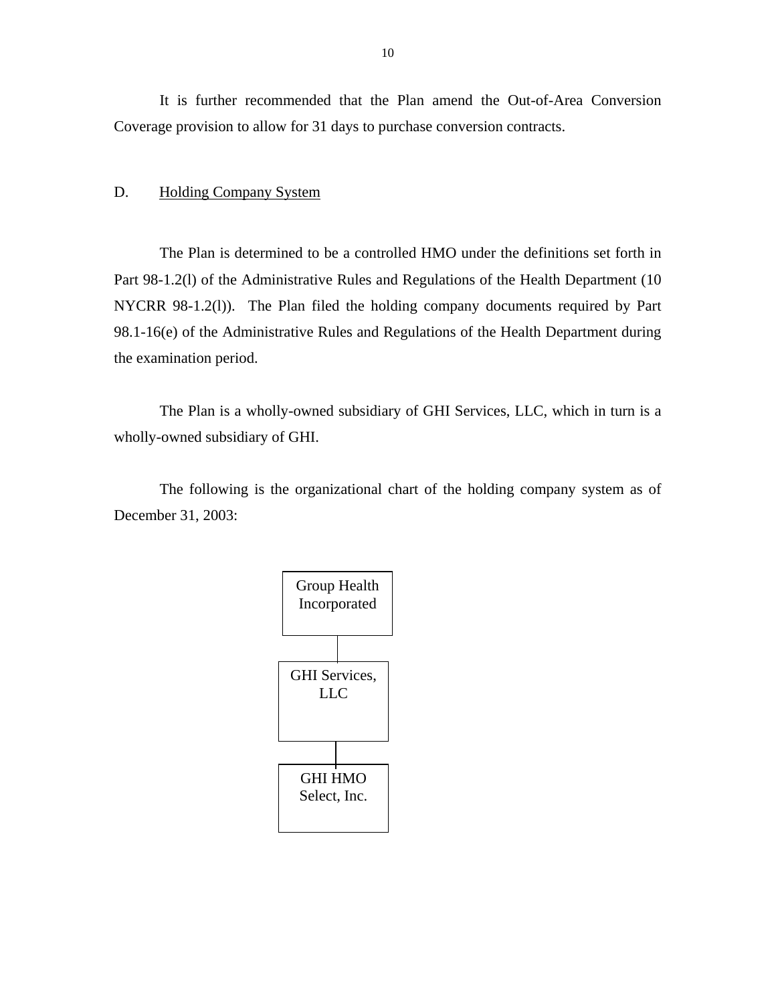<span id="page-11-0"></span>It is further recommended that the Plan amend the Out-of-Area Conversion Coverage provision to allow for 31 days to purchase conversion contracts.

#### D. Holding Company System

The Plan is determined to be a controlled HMO under the definitions set forth in Part 98-1.2(l) of the Administrative Rules and Regulations of the Health Department (10 NYCRR 98-1.2(l)). The Plan filed the holding company documents required by Part 98.1-16(e) of the Administrative Rules and Regulations of the Health Department during the examination period.

The Plan is a wholly-owned subsidiary of GHI Services, LLC, which in turn is a wholly-owned subsidiary of GHI.

The following is the organizational chart of the holding company system as of December 31, 2003:

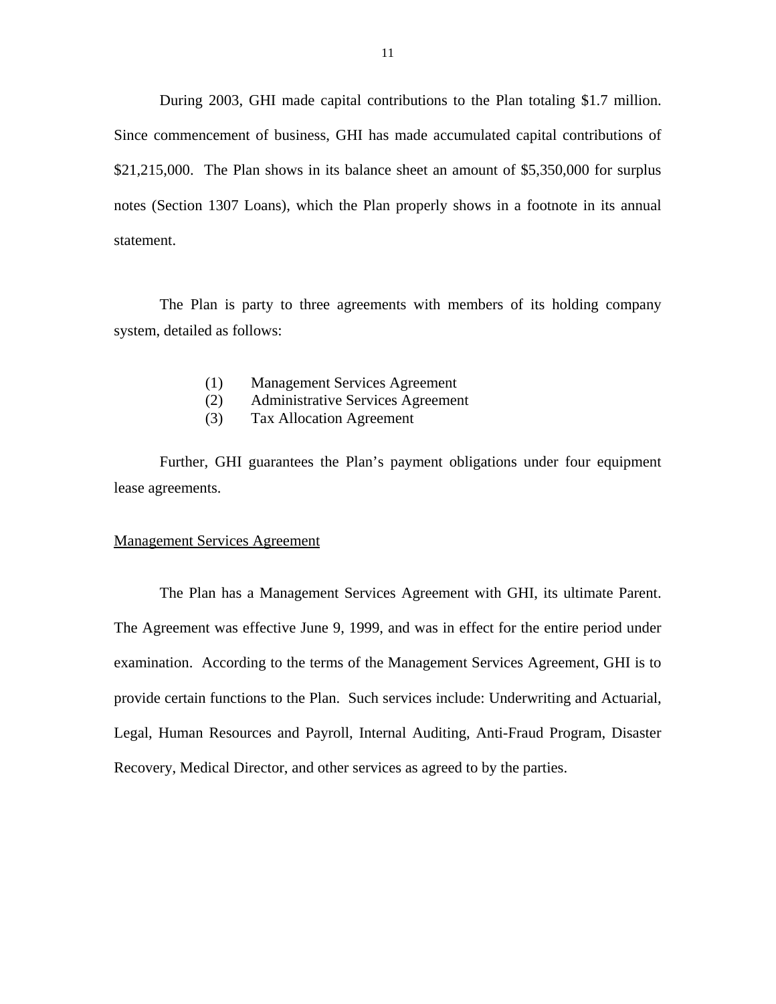During 2003, GHI made capital contributions to the Plan totaling \$1.7 million. Since commencement of business, GHI has made accumulated capital contributions of \$21,215,000. The Plan shows in its balance sheet an amount of \$5,350,000 for surplus notes (Section 1307 Loans), which the Plan properly shows in a footnote in its annual statement.

The Plan is party to three agreements with members of its holding company system, detailed as follows:

- (1) Management Services Agreement
- (2) Administrative Services Agreement
- (3) Tax Allocation Agreement

Further, GHI guarantees the Plan's payment obligations under four equipment lease agreements.

#### Management Services Agreement

The Plan has a Management Services Agreement with GHI, its ultimate Parent. The Agreement was effective June 9, 1999, and was in effect for the entire period under examination. According to the terms of the Management Services Agreement, GHI is to provide certain functions to the Plan. Such services include: Underwriting and Actuarial, Legal, Human Resources and Payroll, Internal Auditing, Anti-Fraud Program, Disaster Recovery, Medical Director, and other services as agreed to by the parties.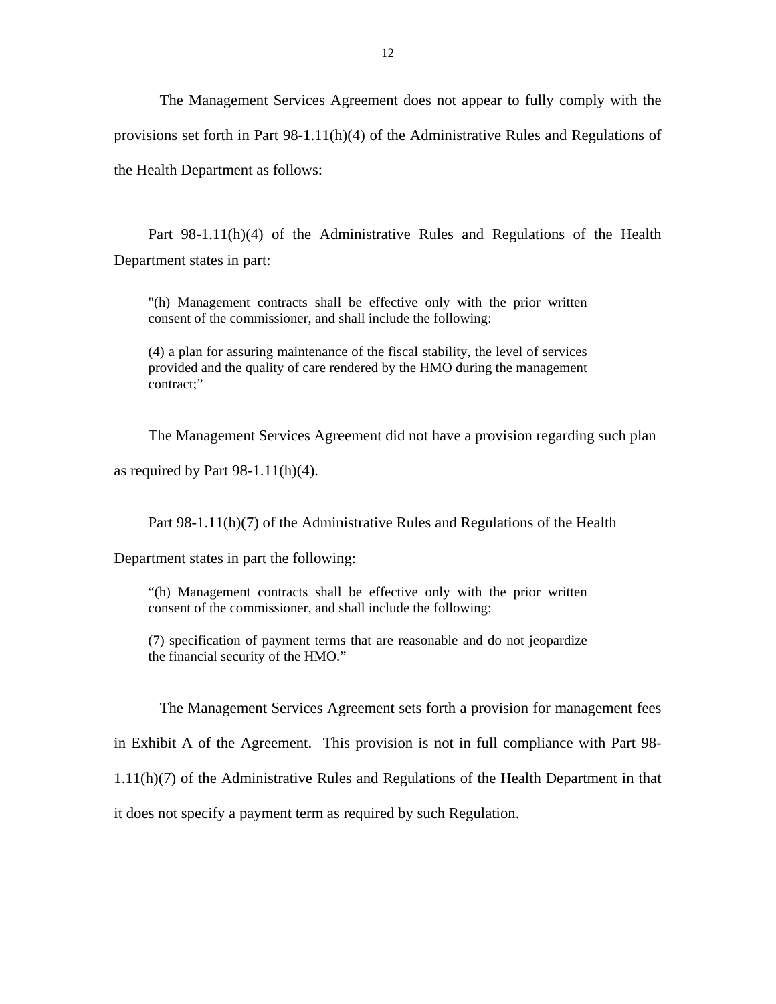The Management Services Agreement does not appear to fully comply with the provisions set forth in Part 98-1.11(h)(4) of the Administrative Rules and Regulations of the Health Department as follows:

Part 98-1.11(h)(4) of the Administrative Rules and Regulations of the Health Department states in part:

"(h) Management contracts shall be effective only with the prior written consent of the commissioner, and shall include the following:

(4) a plan for assuring maintenance of the fiscal stability, the level of services provided and the quality of care rendered by the HMO during the management contract;"

The Management Services Agreement did not have a provision regarding such plan

as required by Part  $98-1.11(h)(4)$ .

Part 98-1.11(h)(7) of the Administrative Rules and Regulations of the Health

Department states in part the following:

"(h) Management contracts shall be effective only with the prior written consent of the commissioner, and shall include the following:

(7) specification of payment terms that are reasonable and do not jeopardize the financial security of the HMO."

The Management Services Agreement sets forth a provision for management fees

in Exhibit A of the Agreement. This provision is not in full compliance with Part 98-

1.11(h)(7) of the Administrative Rules and Regulations of the Health Department in that

it does not specify a payment term as required by such Regulation.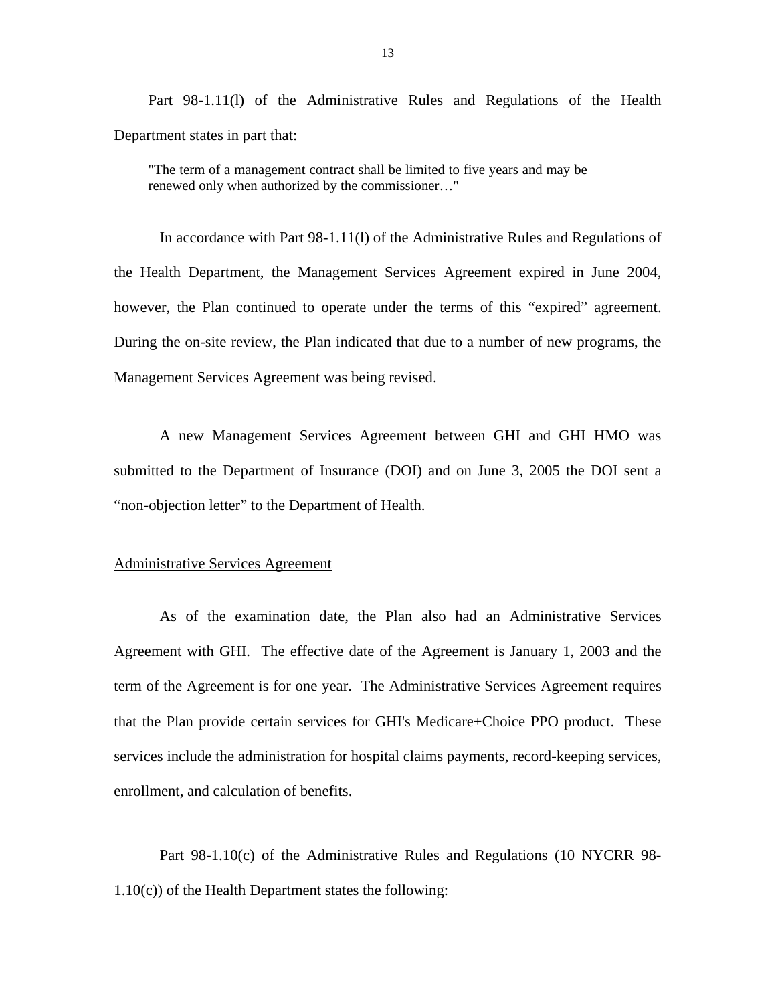Part 98-1.11(l) of the Administrative Rules and Regulations of the Health Department states in part that:

"The term of a management contract shall be limited to five years and may be renewed only when authorized by the commissioner…"

In accordance with Part 98-1.11(l) of the Administrative Rules and Regulations of the Health Department, the Management Services Agreement expired in June 2004, however, the Plan continued to operate under the terms of this "expired" agreement. During the on-site review, the Plan indicated that due to a number of new programs, the Management Services Agreement was being revised.

A new Management Services Agreement between GHI and GHI HMO was submitted to the Department of Insurance (DOI) and on June 3, 2005 the DOI sent a "non-objection letter" to the Department of Health.

#### **Administrative Services Agreement**

As of the examination date, the Plan also had an Administrative Services Agreement with GHI. The effective date of the Agreement is January 1, 2003 and the term of the Agreement is for one year. The Administrative Services Agreement requires that the Plan provide certain services for GHI's Medicare+Choice PPO product. These services include the administration for hospital claims payments, record-keeping services, enrollment, and calculation of benefits.

Part 98-1.10(c) of the Administrative Rules and Regulations (10 NYCRR 98- 1.10(c)) of the Health Department states the following: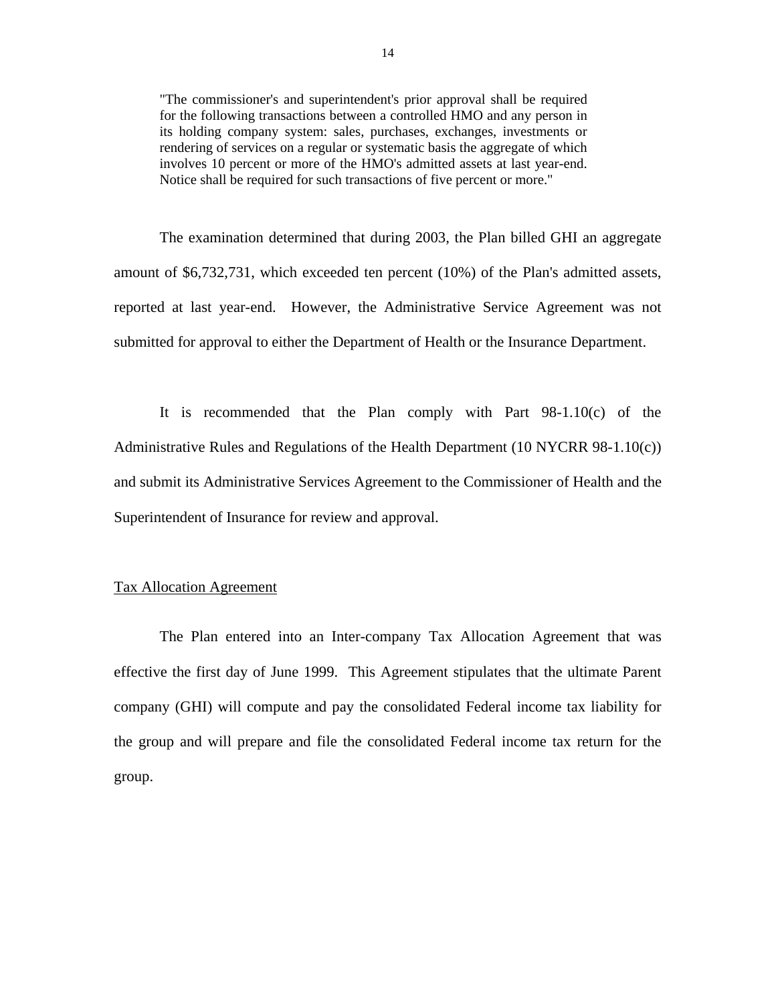"The commissioner's and superintendent's prior approval shall be required for the following transactions between a controlled HMO and any person in its holding company system: sales, purchases, exchanges, investments or rendering of services on a regular or systematic basis the aggregate of which involves 10 percent or more of the HMO's admitted assets at last year-end. Notice shall be required for such transactions of five percent or more."

The examination determined that during 2003, the Plan billed GHI an aggregate amount of \$6,732,731, which exceeded ten percent (10%) of the Plan's admitted assets, reported at last year-end. However, the Administrative Service Agreement was not submitted for approval to either the Department of Health or the Insurance Department.

It is recommended that the Plan comply with Part 98-1.10(c) of the Administrative Rules and Regulations of the Health Department (10 NYCRR 98-1.10(c)) and submit its Administrative Services Agreement to the Commissioner of Health and the Superintendent of Insurance for review and approval.

#### Tax Allocation Agreement

The Plan entered into an Inter-company Tax Allocation Agreement that was effective the first day of June 1999. This Agreement stipulates that the ultimate Parent company (GHI) will compute and pay the consolidated Federal income tax liability for the group and will prepare and file the consolidated Federal income tax return for the group.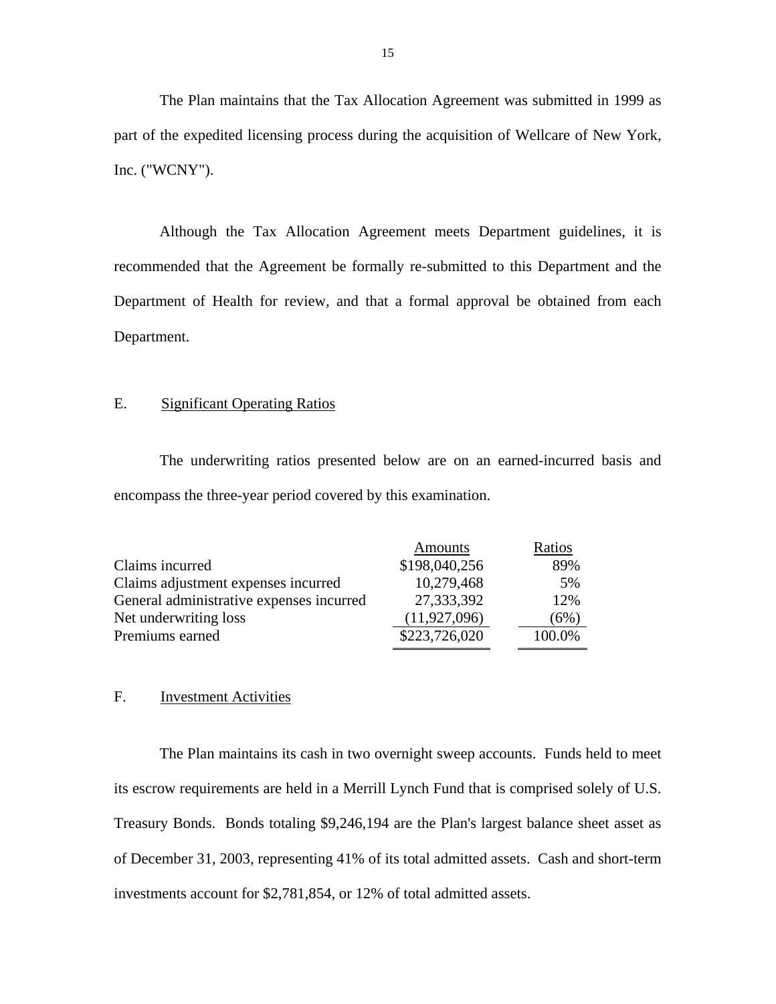The Plan maintains that the Tax Allocation Agreement was submitted in 1999 as part of the expedited licensing process during the acquisition of Wellcare of New York, Inc. ("WCNY").

Although the Tax Allocation Agreement meets Department guidelines, it is recommended that the Agreement be formally re-submitted to this Department and the Department of Health for review, and that a formal approval be obtained from each Department.

#### E. Significant Operating Ratios

The underwriting ratios presented below are on an earned-incurred basis and encompass the three-year period covered by this examination.

|                                          | Amounts        | Ratios |
|------------------------------------------|----------------|--------|
| Claims incurred                          | \$198,040,256  | 89%    |
| Claims adjustment expenses incurred      | 10,279,468     | 5%     |
| General administrative expenses incurred | 27,333,392     | 12%    |
| Net underwriting loss                    | (11, 927, 096) | (6%)   |
| Premiums earned                          | \$223,726,020  | 100.0% |
|                                          |                |        |

#### F. Investment Activities

The Plan maintains its cash in two overnight sweep accounts. Funds held to meet its escrow requirements are held in a Merrill Lynch Fund that is comprised solely of U.S. Treasury Bonds. Bonds totaling \$9,246,194 are the Plan's largest balance sheet asset as of December 31, 2003, representing 41% of its total admitted assets. Cash and short-term investments account for \$2,781,854, or 12% of total admitted assets.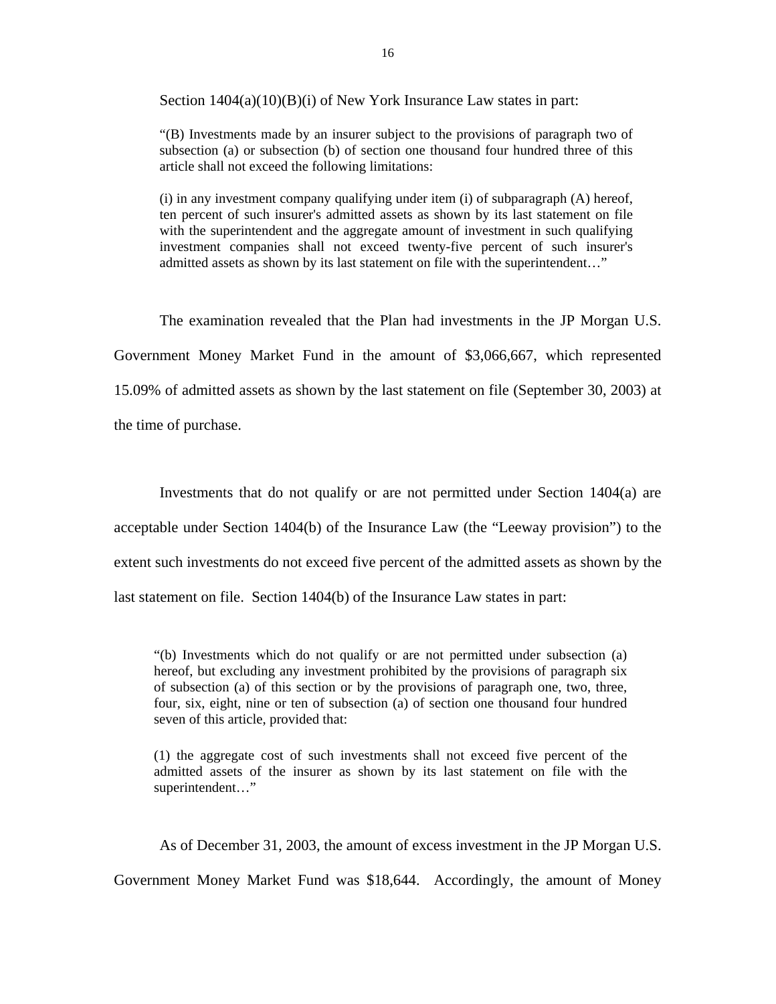Section  $1404(a)(10)(B)(i)$  of New York Insurance Law states in part:

"(B) Investments made by an insurer subject to the provisions of paragraph two of subsection (a) or subsection (b) of section one thousand four hundred three of this article shall not exceed the following limitations:

(i) in any investment company qualifying under item (i) of subparagraph (A) hereof, ten percent of such insurer's admitted assets as shown by its last statement on file with the superintendent and the aggregate amount of investment in such qualifying investment companies shall not exceed twenty-five percent of such insurer's admitted assets as shown by its last statement on file with the superintendent…"

The examination revealed that the Plan had investments in the JP Morgan U.S. Government Money Market Fund in the amount of \$3,066,667, which represented 15.09% of admitted assets as shown by the last statement on file (September 30, 2003) at the time of purchase.

Investments that do not qualify or are not permitted under Section 1404(a) are acceptable under Section 1404(b) of the Insurance Law (the "Leeway provision") to the extent such investments do not exceed five percent of the admitted assets as shown by the last statement on file. Section 1404(b) of the Insurance Law states in part:

"(b) Investments which do not qualify or are not permitted under subsection (a) hereof, but excluding any investment prohibited by the provisions of paragraph six of subsection (a) of this section or by the provisions of paragraph one, two, three, four, six, eight, nine or ten of subsection (a) of section one thousand four hundred seven of this article, provided that:

(1) the aggregate cost of such investments shall not exceed five percent of the admitted assets of the insurer as shown by its last statement on file with the superintendent…"

As of December 31, 2003, the amount of excess investment in the JP Morgan U.S.

Government Money Market Fund was \$18,644. Accordingly, the amount of Money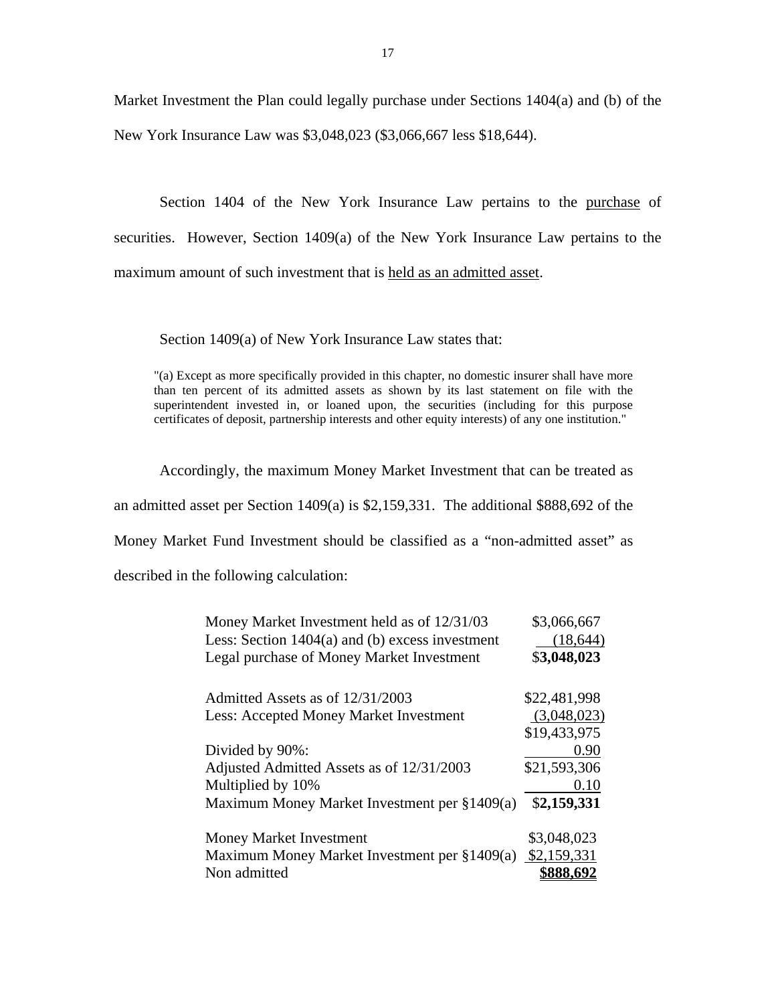Market Investment the Plan could legally purchase under Sections 1404(a) and (b) of the New York Insurance Law was \$3,048,023 (\$3,066,667 less \$18,644).

Section 1404 of the New York Insurance Law pertains to the purchase of securities. However, Section 1409(a) of the New York Insurance Law pertains to the maximum amount of such investment that is held as an admitted asset.

Section 1409(a) of New York Insurance Law states that:

"(a) Except as more specifically provided in this chapter, no domestic insurer shall have more than ten percent of its admitted assets as shown by its last statement on file with the superintendent invested in, or loaned upon, the securities (including for this purpose certificates of deposit, partnership interests and other equity interests) of any one institution."

Accordingly, the maximum Money Market Investment that can be treated as an admitted asset per Section 1409(a) is \$2,159,331. The additional \$888,692 of the Money Market Fund Investment should be classified as a "non-admitted asset" as described in the following calculation:

| Money Market Investment held as of 12/31/03       | \$3,066,667  |
|---------------------------------------------------|--------------|
| Less: Section $1404(a)$ and (b) excess investment | (18, 644)    |
| Legal purchase of Money Market Investment         | \$3,048,023  |
| Admitted Assets as of 12/31/2003                  | \$22,481,998 |
| Less: Accepted Money Market Investment            | (3,048,023)  |
|                                                   | \$19,433,975 |
| Divided by 90%:                                   | 0.90         |
| Adjusted Admitted Assets as of 12/31/2003         | \$21,593,306 |
| Multiplied by 10%                                 | 0.10         |
| Maximum Money Market Investment per §1409(a)      | \$2,159,331  |
| Money Market Investment                           | \$3,048,023  |
| Maximum Money Market Investment per $§1409(a)$    | \$2,159,331  |
| Non admitted                                      | \$888.692    |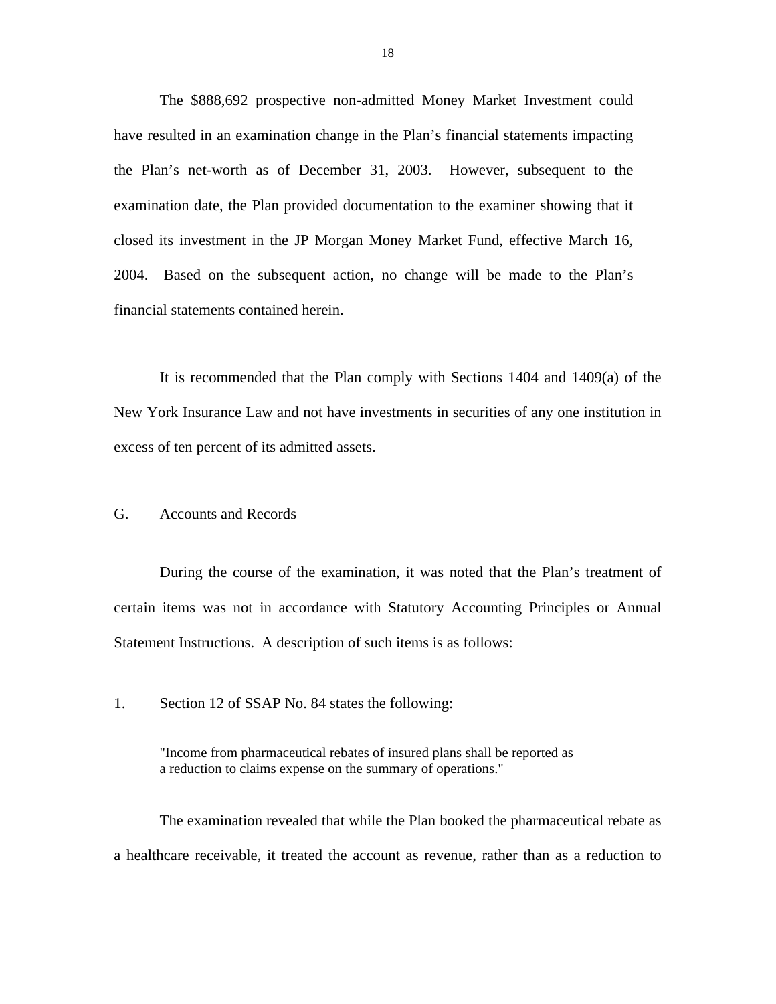<span id="page-19-0"></span>The \$888,692 prospective non-admitted Money Market Investment could have resulted in an examination change in the Plan's financial statements impacting the Plan's net-worth as of December 31, 2003. However, subsequent to the examination date, the Plan provided documentation to the examiner showing that it closed its investment in the JP Morgan Money Market Fund, effective March 16, 2004. Based on the subsequent action, no change will be made to the Plan's financial statements contained herein.

It is recommended that the Plan comply with Sections 1404 and 1409(a) of the New York Insurance Law and not have investments in securities of any one institution in excess of ten percent of its admitted assets.

#### G. Accounts and Records

During the course of the examination, it was noted that the Plan's treatment of certain items was not in accordance with Statutory Accounting Principles or Annual Statement Instructions. A description of such items is as follows:

1. Section 12 of SSAP No. 84 states the following:

"Income from pharmaceutical rebates of insured plans shall be reported as a reduction to claims expense on the summary of operations."

The examination revealed that while the Plan booked the pharmaceutical rebate as a healthcare receivable, it treated the account as revenue, rather than as a reduction to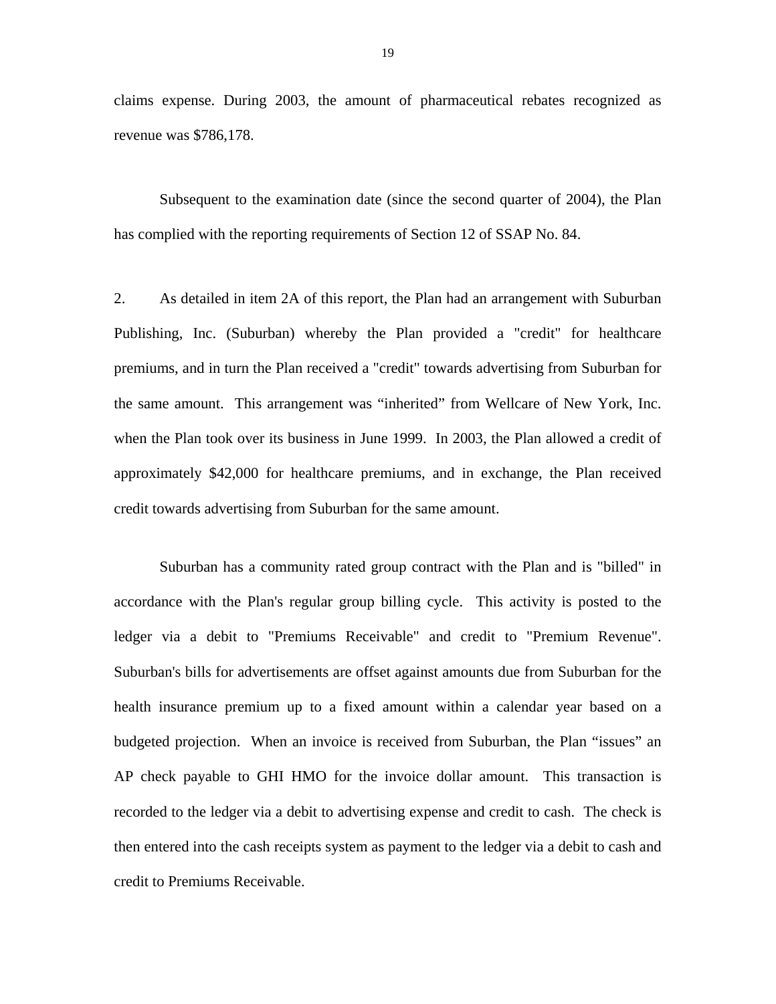claims expense. During 2003, the amount of pharmaceutical rebates recognized as revenue was \$786,178.

Subsequent to the examination date (since the second quarter of 2004), the Plan has complied with the reporting requirements of Section 12 of SSAP No. 84.

2. As detailed in item 2A of this report, the Plan had an arrangement with Suburban Publishing, Inc. (Suburban) whereby the Plan provided a "credit" for healthcare premiums, and in turn the Plan received a "credit" towards advertising from Suburban for the same amount. This arrangement was "inherited" from Wellcare of New York, Inc. when the Plan took over its business in June 1999. In 2003, the Plan allowed a credit of approximately \$42,000 for healthcare premiums, and in exchange, the Plan received credit towards advertising from Suburban for the same amount.

Suburban has a community rated group contract with the Plan and is "billed" in accordance with the Plan's regular group billing cycle. This activity is posted to the ledger via a debit to "Premiums Receivable" and credit to "Premium Revenue". Suburban's bills for advertisements are offset against amounts due from Suburban for the health insurance premium up to a fixed amount within a calendar year based on a budgeted projection. When an invoice is received from Suburban, the Plan "issues" an AP check payable to GHI HMO for the invoice dollar amount. This transaction is recorded to the ledger via a debit to advertising expense and credit to cash. The check is then entered into the cash receipts system as payment to the ledger via a debit to cash and credit to Premiums Receivable.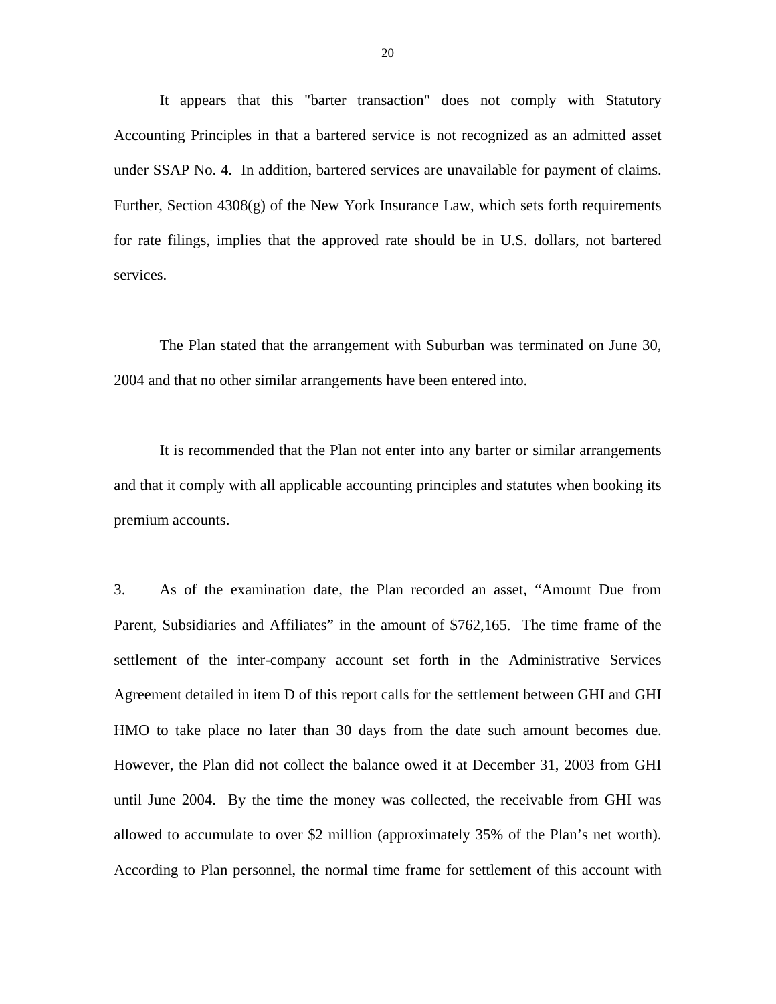It appears that this "barter transaction" does not comply with Statutory Accounting Principles in that a bartered service is not recognized as an admitted asset under SSAP No. 4. In addition, bartered services are unavailable for payment of claims. Further, Section 4308(g) of the New York Insurance Law, which sets forth requirements for rate filings, implies that the approved rate should be in U.S. dollars, not bartered services.

The Plan stated that the arrangement with Suburban was terminated on June 30, 2004 and that no other similar arrangements have been entered into.

It is recommended that the Plan not enter into any barter or similar arrangements and that it comply with all applicable accounting principles and statutes when booking its premium accounts.

3. As of the examination date, the Plan recorded an asset, "Amount Due from Parent, Subsidiaries and Affiliates" in the amount of \$762,165. The time frame of the settlement of the inter-company account set forth in the Administrative Services Agreement detailed in item D of this report calls for the settlement between GHI and GHI HMO to take place no later than 30 days from the date such amount becomes due. However, the Plan did not collect the balance owed it at December 31, 2003 from GHI until June 2004. By the time the money was collected, the receivable from GHI was allowed to accumulate to over \$2 million (approximately 35% of the Plan's net worth). According to Plan personnel, the normal time frame for settlement of this account with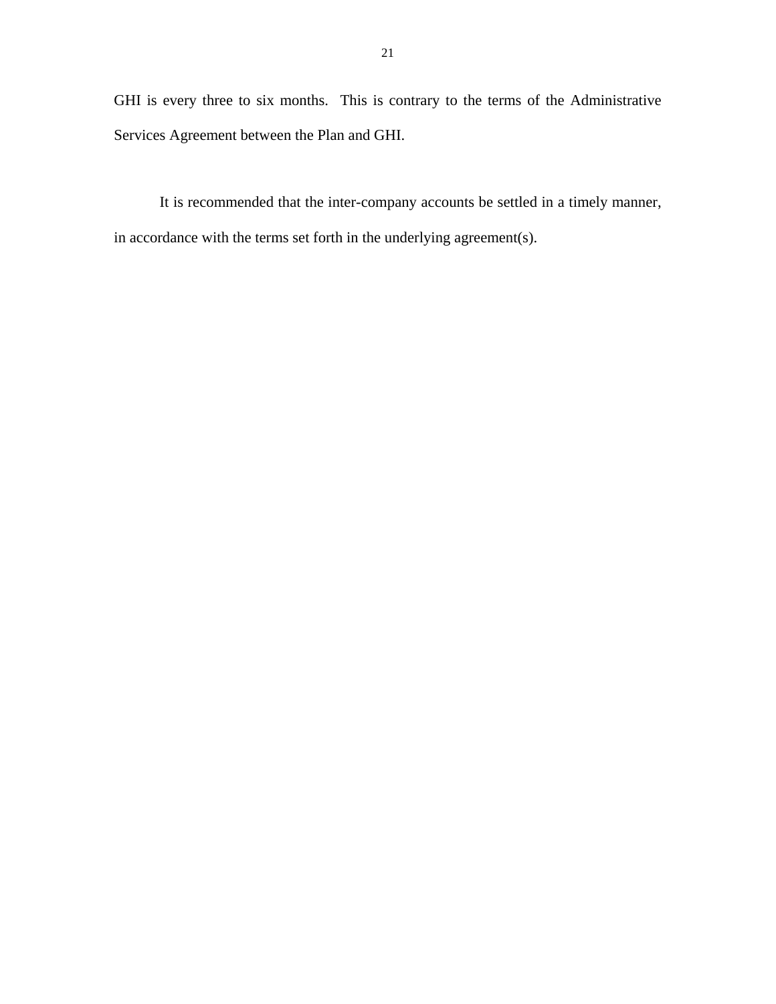GHI is every three to six months. This is contrary to the terms of the Administrative Services Agreement between the Plan and GHI.

It is recommended that the inter-company accounts be settled in a timely manner, in accordance with the terms set forth in the underlying agreement(s).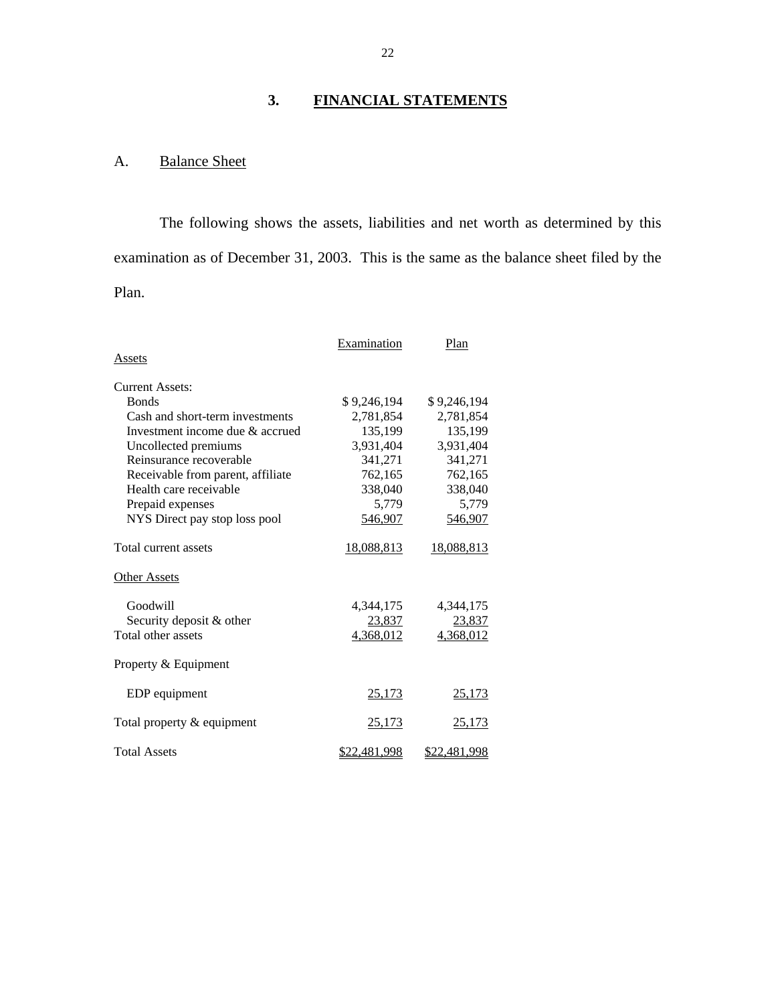# **3. FINANCIAL STATEMENTS**

# A. Balance Sheet

The following shows the assets, liabilities and net worth as determined by this examination as of December 31, 2003. This is the same as the balance sheet filed by the Plan.

|                                   | Examination         | Plan                |
|-----------------------------------|---------------------|---------------------|
| Assets                            |                     |                     |
| Current Assets:                   |                     |                     |
| <b>Bonds</b>                      | \$9,246,194         | \$9,246,194         |
| Cash and short-term investments   | 2,781,854           | 2,781,854           |
| Investment income due & accrued   | 135,199             | 135,199             |
| Uncollected premiums              | 3,931,404           | 3,931,404           |
| Reinsurance recoverable           | 341,271             | 341,271             |
| Receivable from parent, affiliate | 762,165             | 762,165             |
| Health care receivable            | 338,040             | 338,040             |
| Prepaid expenses                  | 5,779               | 5,779               |
| NYS Direct pay stop loss pool     | 546,907             | 546,907             |
| Total current assets              | 18,088,813          | 18,088,813          |
| <b>Other Assets</b>               |                     |                     |
| Goodwill                          | 4,344,175           | 4,344,175           |
| Security deposit & other          | 23,837              | 23,837              |
| Total other assets                | 4,368,012           | 4,368,012           |
| Property & Equipment              |                     |                     |
| EDP equipment                     | 25,173              | 25,173              |
| Total property & equipment        | 25,173              | <u>25,173</u>       |
| <b>Total Assets</b>               | <u>\$22,481,998</u> | <u>\$22,481,998</u> |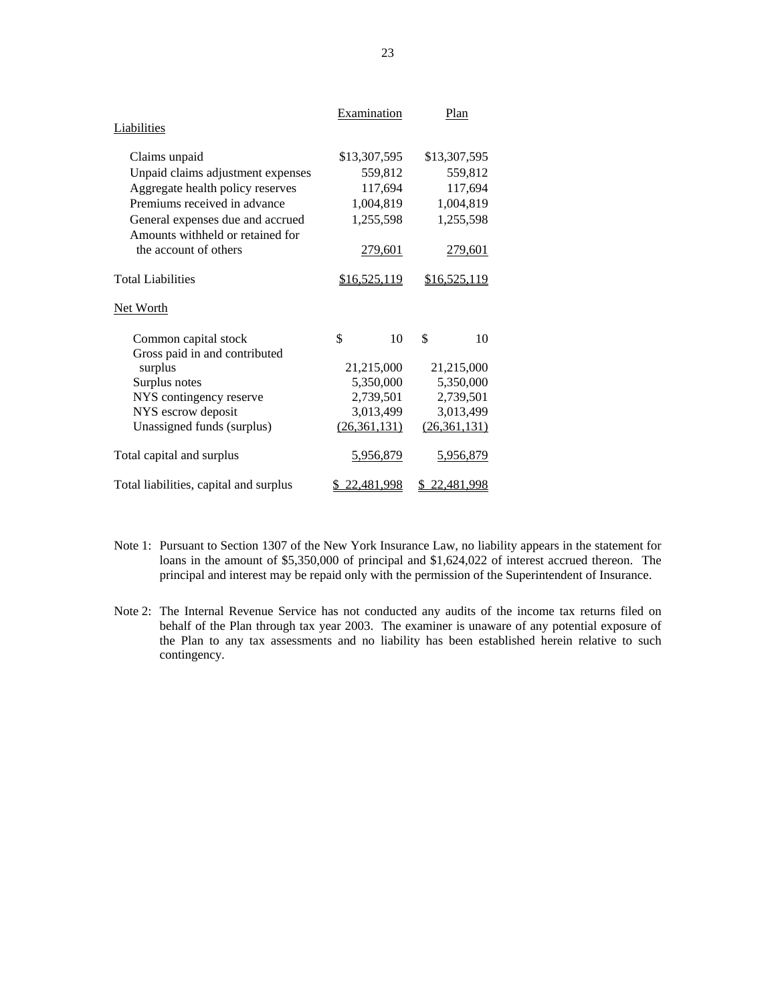|                                        | Examination  | Plan         |
|----------------------------------------|--------------|--------------|
| Liabilities                            |              |              |
| Claims unpaid                          | \$13,307,595 | \$13,307,595 |
| Unpaid claims adjustment expenses      | 559,812      | 559,812      |
| Aggregate health policy reserves       | 117,694      | 117,694      |
| Premiums received in advance           | 1,004,819    | 1,004,819    |
| General expenses due and accrued       | 1,255,598    | 1,255,598    |
| Amounts withheld or retained for       |              |              |
| the account of others                  | 279,601      | 279,601      |
|                                        |              |              |
| <b>Total Liabilities</b>               | \$16,525,119 | \$16,525,119 |
| Net Worth                              |              |              |
| Common capital stock                   | \$<br>10     | \$<br>10     |
| Gross paid in and contributed          |              |              |
| surplus                                | 21,215,000   | 21,215,000   |
| Surplus notes                          | 5,350,000    | 5,350,000    |
| NYS contingency reserve                | 2,739,501    | 2,739,501    |
| NYS escrow deposit                     | 3,013,499    | 3,013,499    |
| Unassigned funds (surplus)             | (26,361,131) | (26,361,131) |
| Total capital and surplus              | 5,956,879    | 5,956,879    |
| Total liabilities, capital and surplus | 22,481,998   | \$22,481,998 |

- Note 1: Pursuant to Section 1307 of the New York Insurance Law, no liability appears in the statement for principal and interest may be repaid only with the permission of the Superintendent of Insurance. loans in the amount of \$5,350,000 of principal and \$1,624,022 of interest accrued thereon. The
- Note 2: The Internal Revenue Service has not conducted any audits of the income tax returns filed on behalf of the Plan through tax year 2003. The examiner is unaware of any potential exposure of the Plan to any tax assessments and no liability has been established herein relative to such contingency.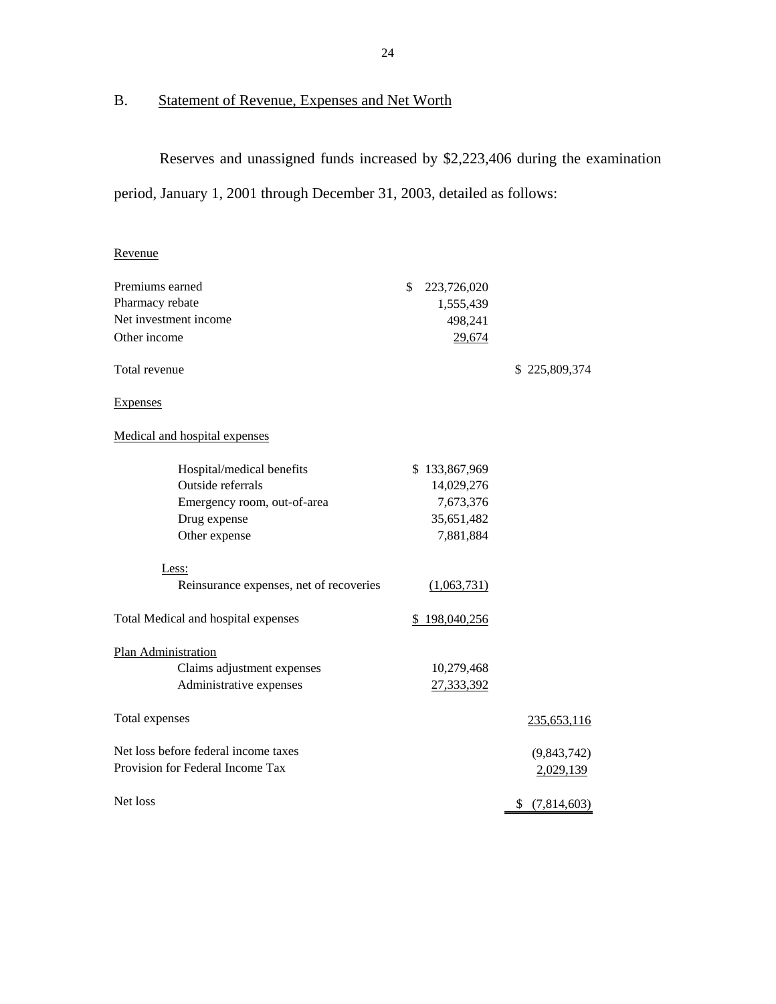# B. Statement of Revenue, Expenses and Net Worth

Reserves and unassigned funds increased by \$2,223,406 during the examination

period, January 1, 2001 through December 31, 2003, detailed as follows:

# Revenue

| Premiums earned                         | \$<br>223,726,020 |               |
|-----------------------------------------|-------------------|---------------|
| Pharmacy rebate                         | 1,555,439         |               |
| Net investment income                   | 498,241           |               |
| Other income                            | 29,674            |               |
| Total revenue                           |                   | \$225,809,374 |
| <b>Expenses</b>                         |                   |               |
| Medical and hospital expenses           |                   |               |
| Hospital/medical benefits               | \$133,867,969     |               |
| Outside referrals                       | 14,029,276        |               |
| Emergency room, out-of-area             | 7,673,376         |               |
| Drug expense                            | 35,651,482        |               |
| Other expense                           | 7,881,884         |               |
| Less:                                   |                   |               |
| Reinsurance expenses, net of recoveries | (1,063,731)       |               |
| Total Medical and hospital expenses     | \$198,040,256     |               |
| Plan Administration                     |                   |               |
| Claims adjustment expenses              | 10,279,468        |               |
| Administrative expenses                 | 27,333,392        |               |
| Total expenses                          |                   | 235,653,116   |
| Net loss before federal income taxes    |                   | (9,843,742)   |
| Provision for Federal Income Tax        |                   | 2,029,139     |
| Net loss                                |                   | \$(7,814,603) |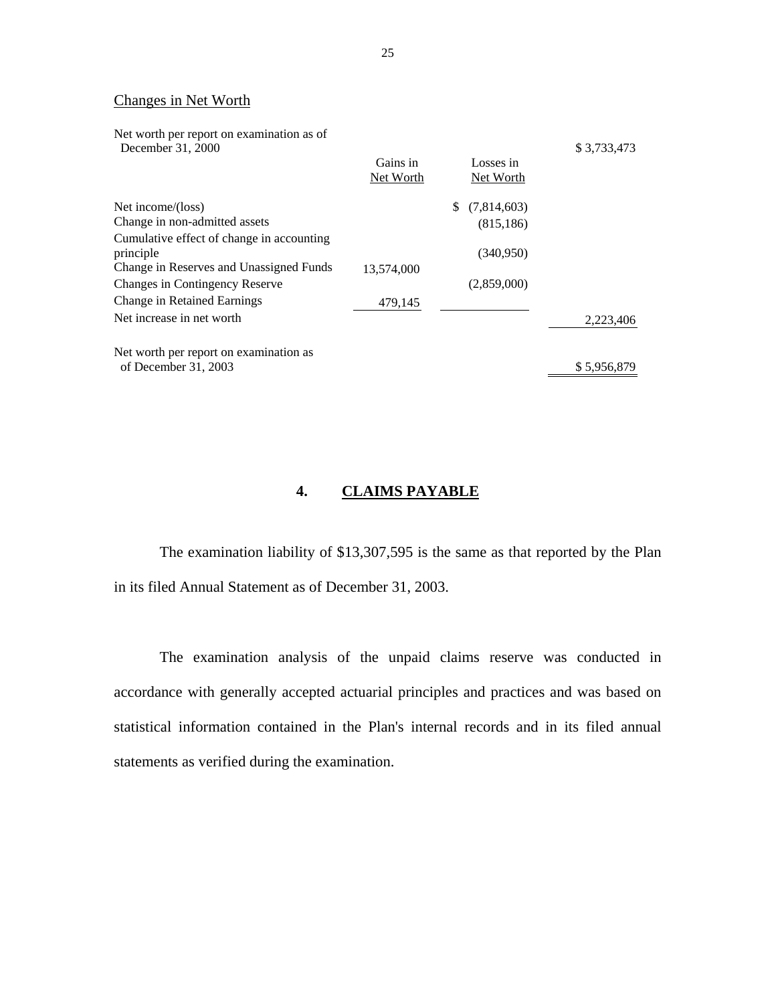### Changes in Net Worth

| Net worth per report on examination as of<br>December 31, 2000 |            |                    | \$3,733,473 |
|----------------------------------------------------------------|------------|--------------------|-------------|
|                                                                | Gains in   | Losses in          |             |
|                                                                | Net Worth  | Net Worth          |             |
| Net income/(loss)                                              |            | (7,814,603)<br>\$. |             |
| Change in non-admitted assets                                  |            | (815, 186)         |             |
| Cumulative effect of change in accounting                      |            |                    |             |
| principle                                                      |            | (340,950)          |             |
| Change in Reserves and Unassigned Funds                        | 13,574,000 |                    |             |
| <b>Changes in Contingency Reserve</b>                          |            | (2,859,000)        |             |
| Change in Retained Earnings                                    | 479,145    |                    |             |
| Net increase in net worth                                      |            |                    | 2,223,406   |
| Net worth per report on examination as                         |            |                    |             |
| of December 31, 2003                                           |            |                    | \$5,956,879 |

# **4. CLAIMS PAYABLE**

The examination liability of \$13,307,595 is the same as that reported by the Plan in its filed Annual Statement as of December 31, 2003.

The examination analysis of the unpaid claims reserve was conducted in accordance with generally accepted actuarial principles and practices and was based on statistical information contained in the Plan's internal records and in its filed annual statements as verified during the examination.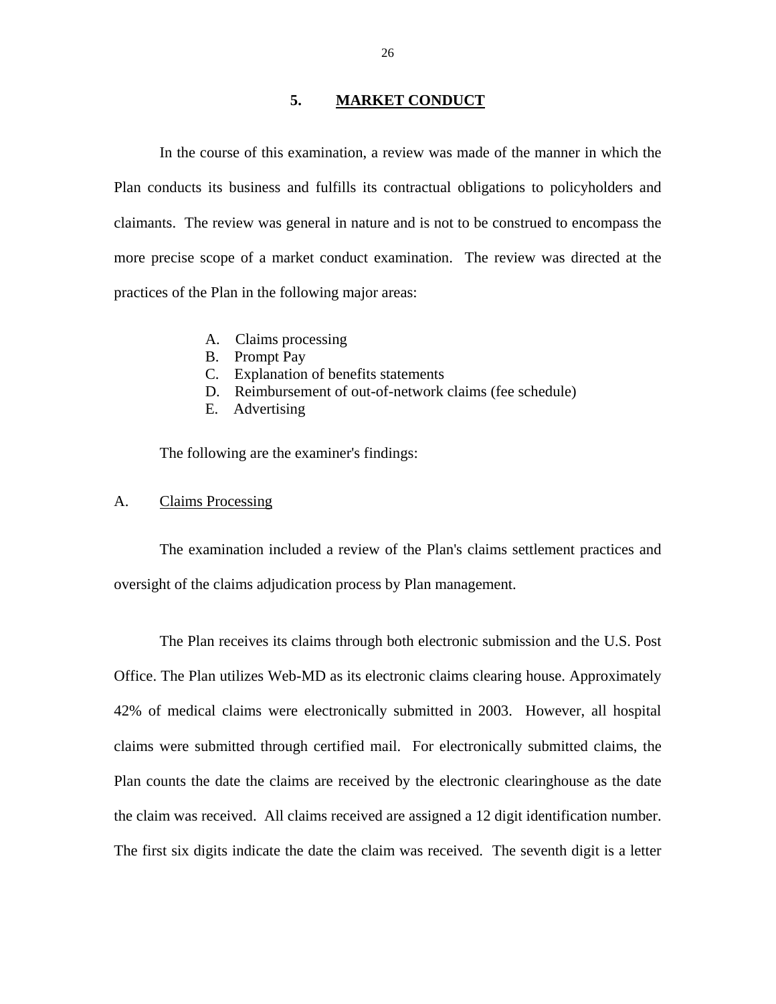#### **5. MARKET CONDUCT**

<span id="page-27-0"></span>In the course of this examination, a review was made of the manner in which the Plan conducts its business and fulfills its contractual obligations to policyholders and claimants. The review was general in nature and is not to be construed to encompass the more precise scope of a market conduct examination. The review was directed at the practices of the Plan in the following major areas:

- A. Claims processing
- B. Prompt Pay
- C. Explanation of benefits statements
- D. Reimbursement of out-of-network claims (fee schedule)
- E. Advertising

The following are the examiner's findings:

#### A. Claims Processing

The examination included a review of the Plan's claims settlement practices and oversight of the claims adjudication process by Plan management.

the claim was received. All claims received are assigned a 12 digit identification number. The Plan receives its claims through both electronic submission and the U.S. Post Office. The Plan utilizes Web-MD as its electronic claims clearing house. Approximately 42% of medical claims were electronically submitted in 2003. However, all hospital claims were submitted through certified mail. For electronically submitted claims, the Plan counts the date the claims are received by the electronic clearinghouse as the date The first six digits indicate the date the claim was received. The seventh digit is a letter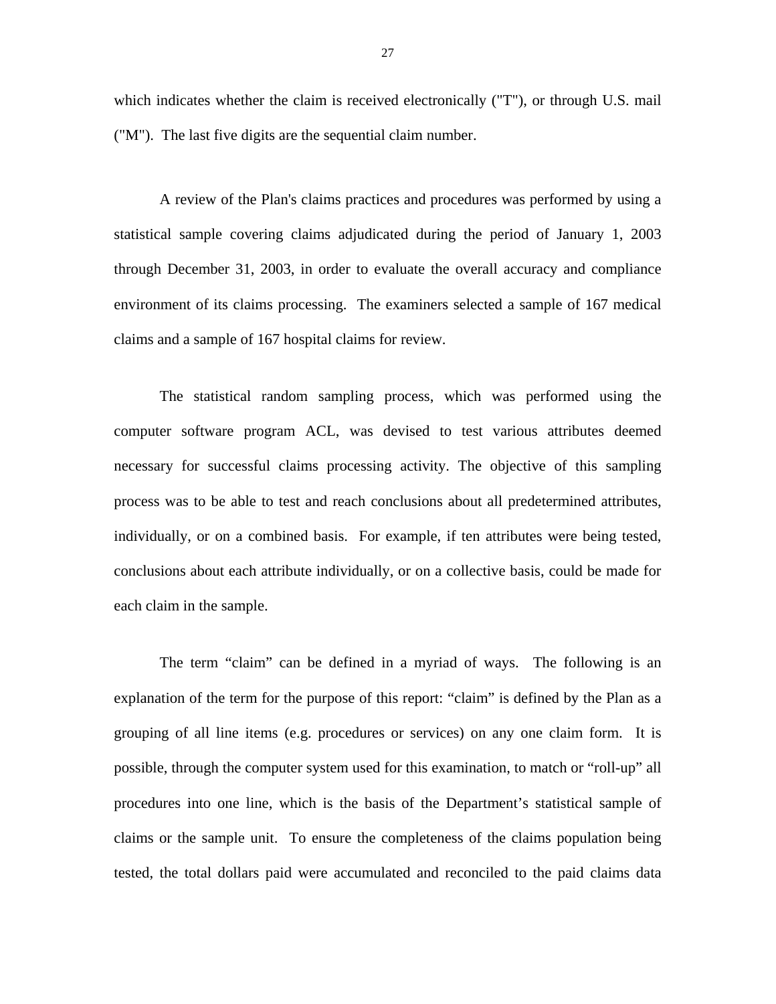which indicates whether the claim is received electronically ("T"), or through U.S. mail ("M"). The last five digits are the sequential claim number.

A review of the Plan's claims practices and procedures was performed by using a statistical sample covering claims adjudicated during the period of January 1, 2003 through December 31, 2003, in order to evaluate the overall accuracy and compliance environment of its claims processing. The examiners selected a sample of 167 medical claims and a sample of 167 hospital claims for review.

The statistical random sampling process, which was performed using the computer software program ACL, was devised to test various attributes deemed necessary for successful claims processing activity. The objective of this sampling process was to be able to test and reach conclusions about all predetermined attributes, individually, or on a combined basis. For example, if ten attributes were being tested, conclusions about each attribute individually, or on a collective basis, could be made for each claim in the sample.

The term "claim" can be defined in a myriad of ways. The following is an explanation of the term for the purpose of this report: "claim" is defined by the Plan as a grouping of all line items (e.g. procedures or services) on any one claim form. It is possible, through the computer system used for this examination, to match or "roll-up" all procedures into one line, which is the basis of the Department's statistical sample of claims or the sample unit. To ensure the completeness of the claims population being tested, the total dollars paid were accumulated and reconciled to the paid claims data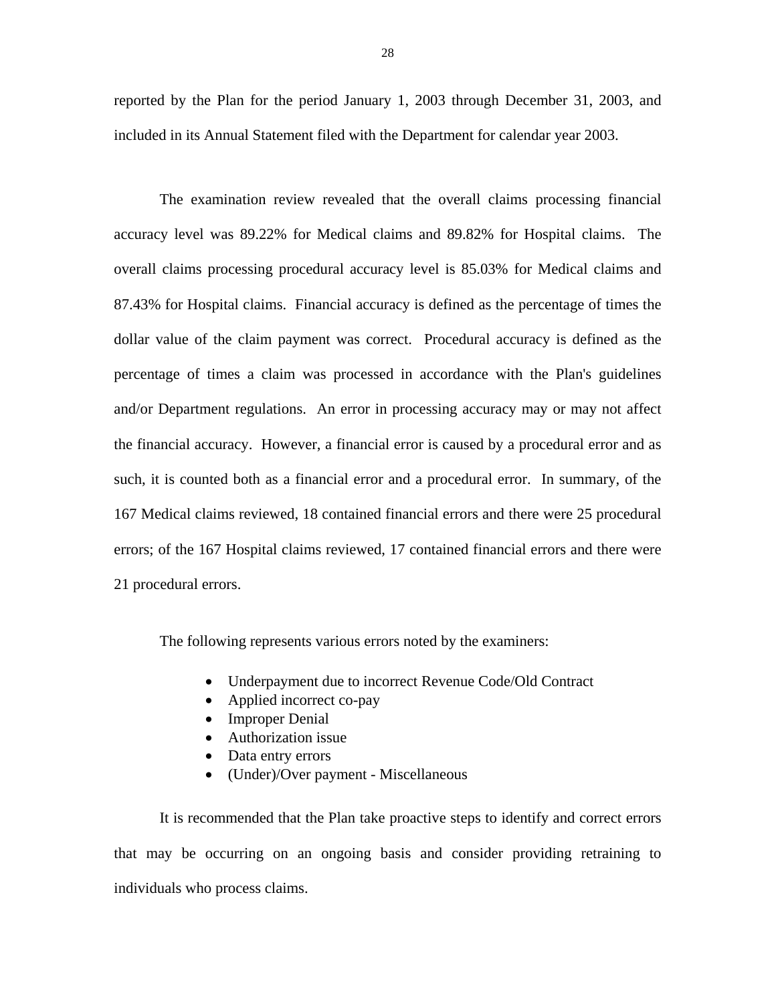reported by the Plan for the period January 1, 2003 through December 31, 2003, and included in its Annual Statement filed with the Department for calendar year 2003.

The examination review revealed that the overall claims processing financial accuracy level was 89.22% for Medical claims and 89.82% for Hospital claims. The overall claims processing procedural accuracy level is 85.03% for Medical claims and 87.43% for Hospital claims. Financial accuracy is defined as the percentage of times the dollar value of the claim payment was correct. Procedural accuracy is defined as the percentage of times a claim was processed in accordance with the Plan's guidelines and/or Department regulations. An error in processing accuracy may or may not affect the financial accuracy. However, a financial error is caused by a procedural error and as such, it is counted both as a financial error and a procedural error. In summary, of the 167 Medical claims reviewed, 18 contained financial errors and there were 25 procedural errors; of the 167 Hospital claims reviewed, 17 contained financial errors and there were 21 procedural errors.

The following represents various errors noted by the examiners:

- Underpayment due to incorrect Revenue Code/Old Contract
- Applied incorrect co-pay
- Improper Denial
- Authorization issue
- Data entry errors
- (Under)/Over payment Miscellaneous

It is recommended that the Plan take proactive steps to identify and correct errors that may be occurring on an ongoing basis and consider providing retraining to individuals who process claims.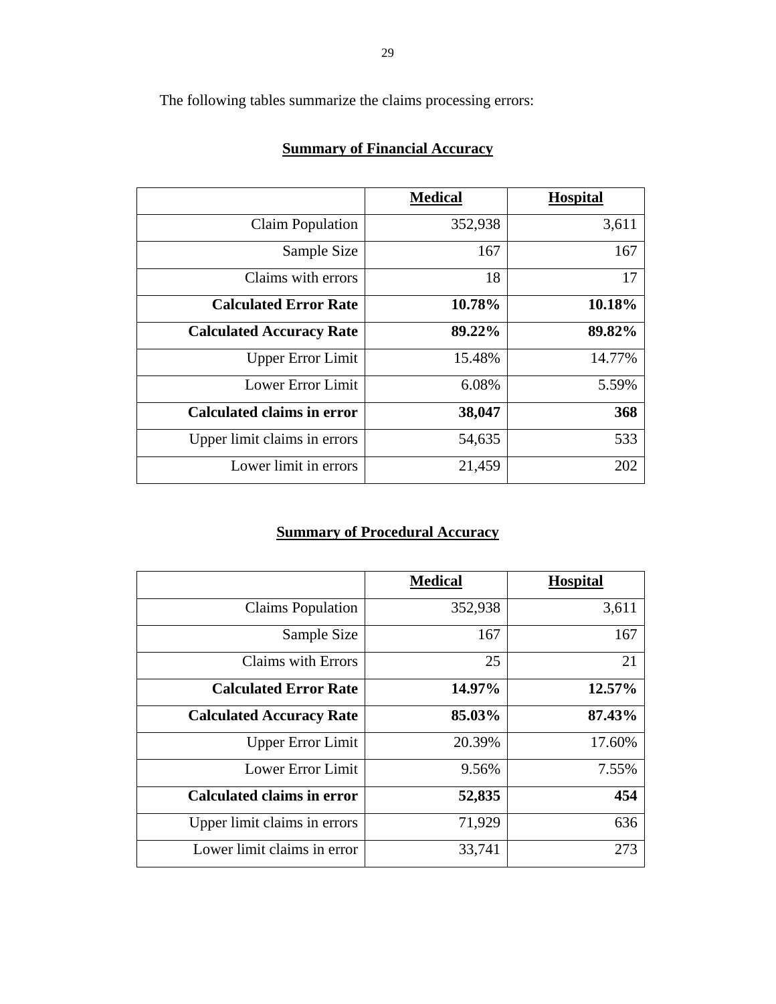The following tables summarize the claims processing errors:

# **Summary of Financial Accuracy**

|                                   | <b>Medical</b> | <b>Hospital</b> |
|-----------------------------------|----------------|-----------------|
| <b>Claim Population</b>           | 352,938        | 3,611           |
| Sample Size                       | 167            | 167             |
| Claims with errors                | 18             | 17              |
| <b>Calculated Error Rate</b>      | 10.78%         | 10.18%          |
| <b>Calculated Accuracy Rate</b>   | 89.22%         | 89.82%          |
| <b>Upper Error Limit</b>          | 15.48%         | 14.77%          |
| <b>Lower Error Limit</b>          | 6.08%          | 5.59%           |
| <b>Calculated claims in error</b> | 38,047         | 368             |
| Upper limit claims in errors      | 54,635         | 533             |
| Lower limit in errors             | 21,459         | 202             |

# **Summary of Procedural Accuracy**

|                                   | <b>Medical</b> | <b>Hospital</b> |
|-----------------------------------|----------------|-----------------|
| <b>Claims Population</b>          | 352,938        | 3,611           |
| Sample Size                       | 167            | 167             |
| Claims with Errors                | 25             | 21              |
| <b>Calculated Error Rate</b>      | 14.97%         | 12.57%          |
| <b>Calculated Accuracy Rate</b>   | 85.03%         | 87.43%          |
| <b>Upper Error Limit</b>          | 20.39%         | 17.60%          |
| Lower Error Limit                 | 9.56%          | 7.55%           |
| <b>Calculated claims in error</b> | 52,835         | 454             |
| Upper limit claims in errors      | 71,929         | 636             |
| Lower limit claims in error       | 33,741         | 273             |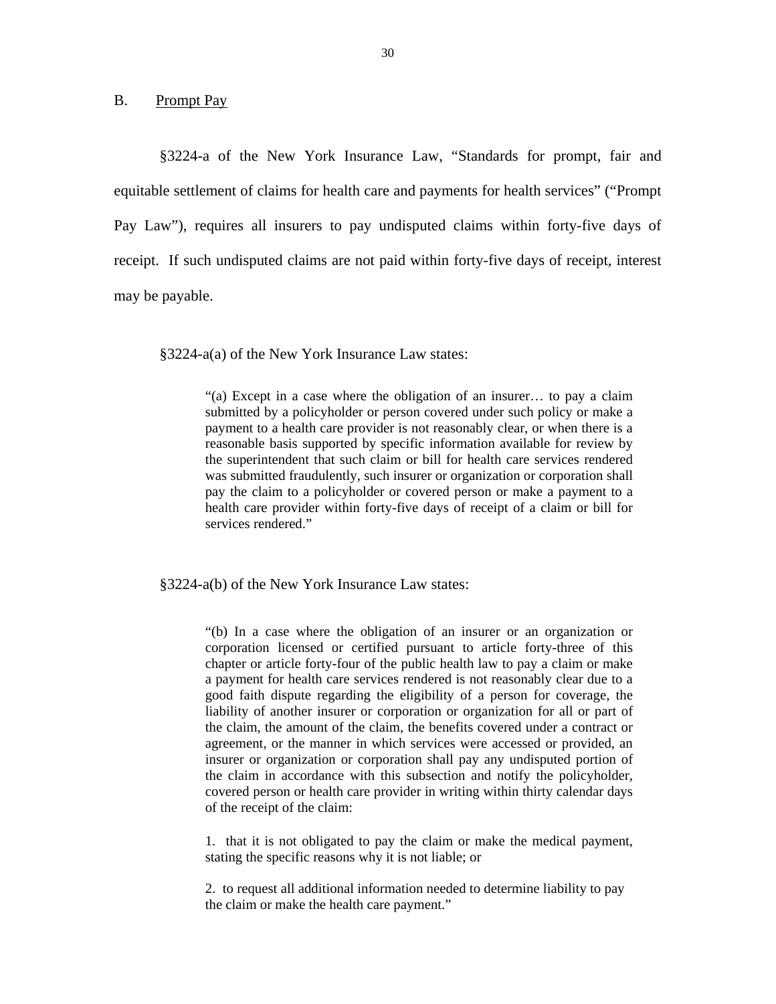<span id="page-31-0"></span>B. Prompt Pay

§3224-a of the New York Insurance Law, "Standards for prompt, fair and equitable settlement of claims for health care and payments for health services" ("Prompt Pay Law"), requires all insurers to pay undisputed claims within forty-five days of receipt. If such undisputed claims are not paid within forty-five days of receipt, interest may be payable.

§3224-a(a) of the New York Insurance Law states:

"(a) Except in a case where the obligation of an insurer… to pay a claim submitted by a policyholder or person covered under such policy or make a payment to a health care provider is not reasonably clear, or when there is a reasonable basis supported by specific information available for review by the superintendent that such claim or bill for health care services rendered was submitted fraudulently, such insurer or organization or corporation shall pay the claim to a policyholder or covered person or make a payment to a health care provider within forty-five days of receipt of a claim or bill for services rendered."

§3224-a(b) of the New York Insurance Law states:

"(b) In a case where the obligation of an insurer or an organization or corporation licensed or certified pursuant to article forty-three of this chapter or article forty-four of the public health law to pay a claim or make a payment for health care services rendered is not reasonably clear due to a good faith dispute regarding the eligibility of a person for coverage, the liability of another insurer or corporation or organization for all or part of the claim, the amount of the claim, the benefits covered under a contract or agreement, or the manner in which services were accessed or provided, an insurer or organization or corporation shall pay any undisputed portion of the claim in accordance with this subsection and notify the policyholder, covered person or health care provider in writing within thirty calendar days of the receipt of the claim:

1. that it is not obligated to pay the claim or make the medical payment, stating the specific reasons why it is not liable; or

2. to request all additional information needed to determine liability to pay the claim or make the health care payment."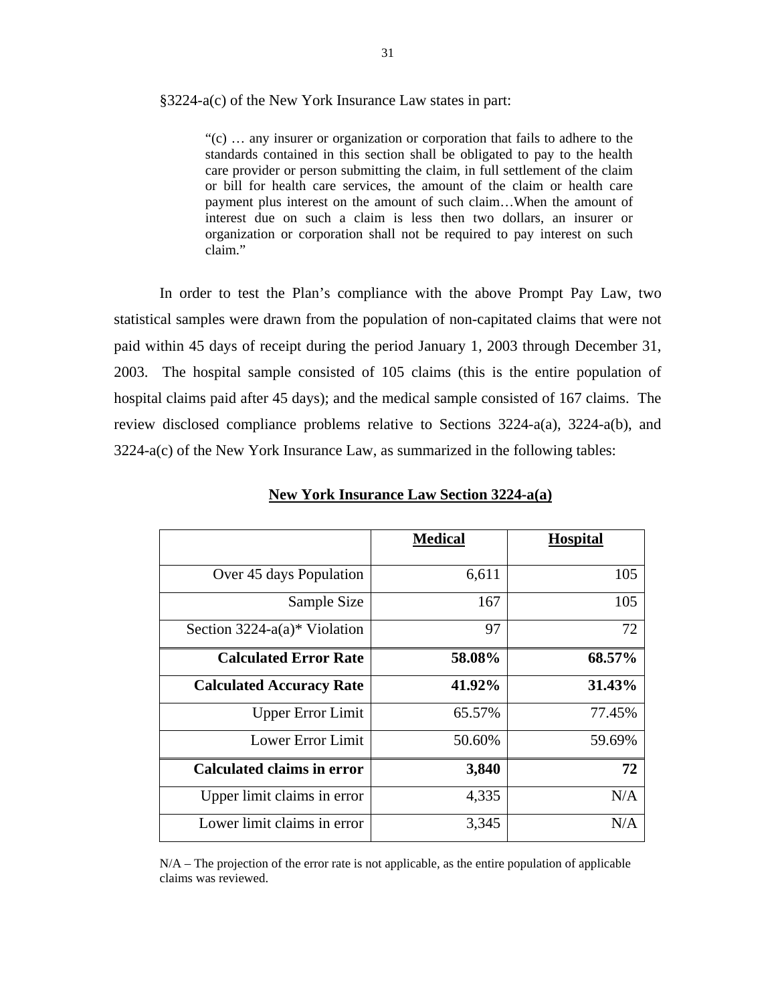#### §3224-a(c) of the New York Insurance Law states in part:

claim." "(c) … any insurer or organization or corporation that fails to adhere to the standards contained in this section shall be obligated to pay to the health care provider or person submitting the claim, in full settlement of the claim or bill for health care services, the amount of the claim or health care payment plus interest on the amount of such claim…When the amount of interest due on such a claim is less then two dollars, an insurer or organization or corporation shall not be required to pay interest on such

In order to test the Plan's compliance with the above Prompt Pay Law, two statistical samples were drawn from the population of non-capitated claims that were not paid within 45 days of receipt during the period January 1, 2003 through December 31, 2003. The hospital sample consisted of 105 claims (this is the entire population of hospital claims paid after 45 days); and the medical sample consisted of 167 claims. The review disclosed compliance problems relative to Sections 3224-a(a), 3224-a(b), and 3224-a(c) of the New York Insurance Law, as summarized in the following tables:

|                                   | <b>Medical</b> | <b>Hospital</b> |
|-----------------------------------|----------------|-----------------|
| Over 45 days Population           | 6,611          | 105             |
| Sample Size                       | 167            | 105             |
| Section $3224-a(a)*$ Violation    | 97             | 72              |
| <b>Calculated Error Rate</b>      | 58.08%         | 68.57%          |
| <b>Calculated Accuracy Rate</b>   | 41.92%         | 31.43%          |
| <b>Upper Error Limit</b>          | 65.57%         | 77.45%          |
| <b>Lower Error Limit</b>          | 50.60%         | 59.69%          |
| <b>Calculated claims in error</b> | 3,840          | 72              |
| Upper limit claims in error       | 4,335          | N/A             |
| Lower limit claims in error       | 3,345          | N/A             |

#### **New York Insurance Law Section 3224-a(a)**

N/A – The projection of the error rate is not applicable, as the entire population of applicable claims was reviewed.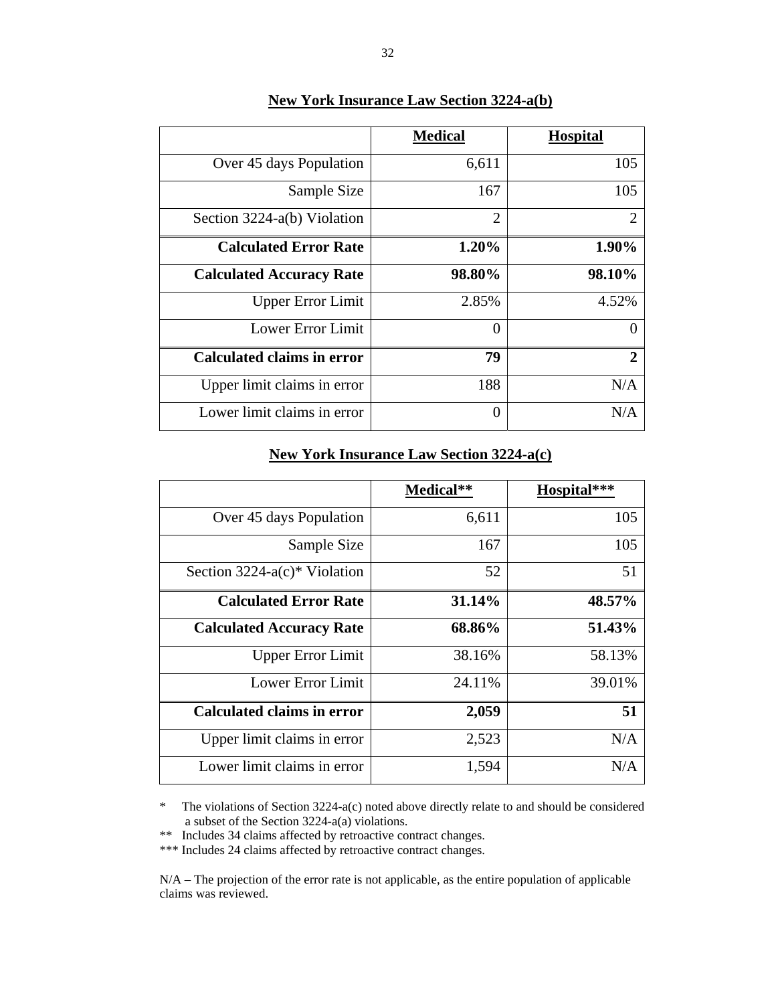|                                   | <b>Medical</b> | <b>Hospital</b> |
|-----------------------------------|----------------|-----------------|
| Over 45 days Population           | 6,611          | 105             |
| Sample Size                       | 167            | 105             |
| Section 3224-a(b) Violation       | $\overline{2}$ | 2               |
| <b>Calculated Error Rate</b>      | 1.20%          | 1.90%           |
| <b>Calculated Accuracy Rate</b>   | 98.80%         | 98.10%          |
| <b>Upper Error Limit</b>          | 2.85%          | 4.52%           |
| Lower Error Limit                 | 0              |                 |
| <b>Calculated claims in error</b> | 79             | 2               |
| Upper limit claims in error       | 188            | N/A             |
| Lower limit claims in error       | 0              | N/A             |

# **New York Insurance Law Section 3224-a(b)**

### **New York Insurance Law Section 3224-a(c)**

|                                 | Medical** | Hospital*** |  |
|---------------------------------|-----------|-------------|--|
| Over 45 days Population         | 6,611     | 105         |  |
| Sample Size                     | 167       | 105         |  |
| Section $3224-a(c)*$ Violation  | 52        | 51          |  |
| <b>Calculated Error Rate</b>    | 31.14%    | 48.57%      |  |
| <b>Calculated Accuracy Rate</b> | 68.86%    | 51.43%      |  |
| <b>Upper Error Limit</b>        | 38.16%    | 58.13%      |  |
| Lower Error Limit               | 24.11%    | 39.01%      |  |
| Calculated claims in error      | 2,059     | 51          |  |
| Upper limit claims in error     | 2,523     | N/A         |  |
| Lower limit claims in error     | 1,594     | N/A         |  |

\* The violations of Section 3224-a(c) noted above directly relate to and should be considered a subset of the Section 3224-a(a) violations.

\*\* Includes 34 claims affected by retroactive contract changes.

\*\*\* Includes 24 claims affected by retroactive contract changes.

N/A – The projection of the error rate is not applicable, as the entire population of applicable claims was reviewed.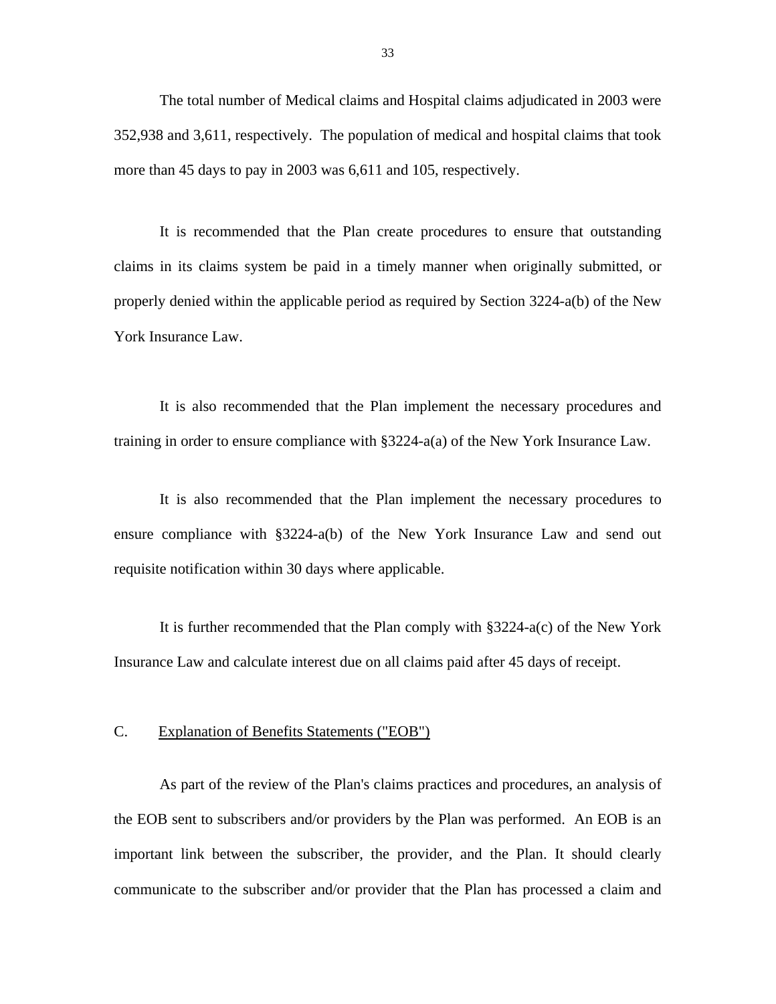<span id="page-34-0"></span>The total number of Medical claims and Hospital claims adjudicated in 2003 were 352,938 and 3,611, respectively. The population of medical and hospital claims that took more than 45 days to pay in 2003 was 6,611 and 105, respectively.

It is recommended that the Plan create procedures to ensure that outstanding claims in its claims system be paid in a timely manner when originally submitted, or properly denied within the applicable period as required by Section 3224-a(b) of the New York Insurance Law.

It is also recommended that the Plan implement the necessary procedures and training in order to ensure compliance with §3224-a(a) of the New York Insurance Law.

It is also recommended that the Plan implement the necessary procedures to ensure compliance with §3224-a(b) of the New York Insurance Law and send out requisite notification within 30 days where applicable.

It is further recommended that the Plan comply with §3224-a(c) of the New York Insurance Law and calculate interest due on all claims paid after 45 days of receipt.

#### C. Explanation of Benefits Statements ("EOB")

As part of the review of the Plan's claims practices and procedures, an analysis of the EOB sent to subscribers and/or providers by the Plan was performed. An EOB is an important link between the subscriber, the provider, and the Plan. It should clearly communicate to the subscriber and/or provider that the Plan has processed a claim and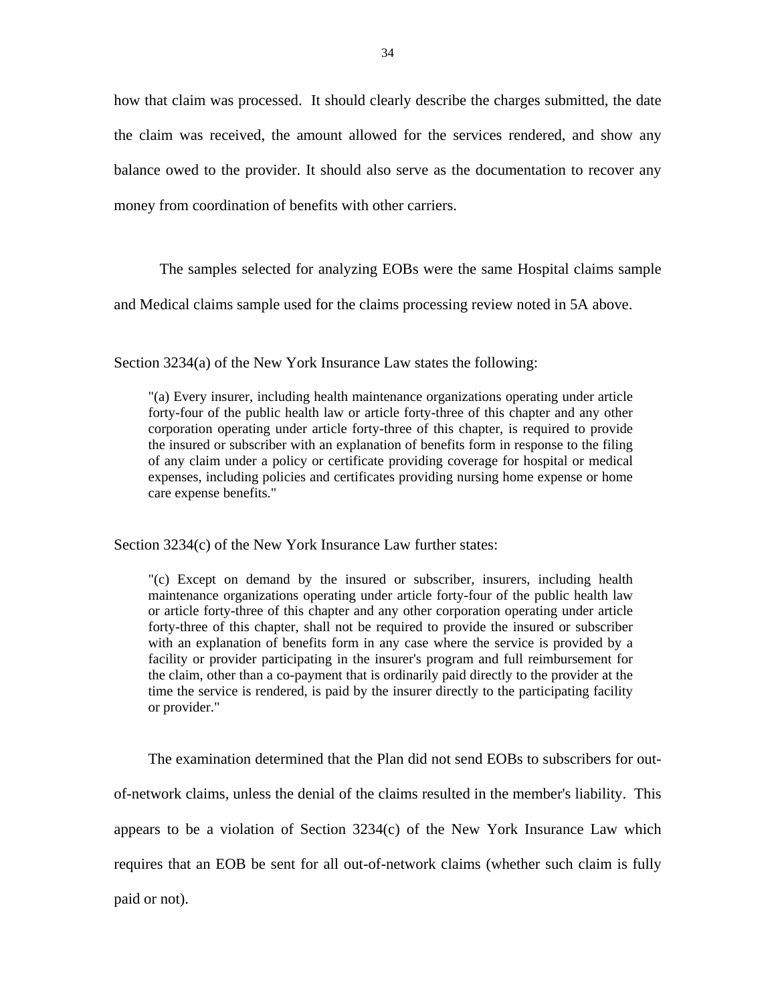how that claim was processed. It should clearly describe the charges submitted, the date the claim was received, the amount allowed for the services rendered, and show any balance owed to the provider. It should also serve as the documentation to recover any money from coordination of benefits with other carriers.

The samples selected for analyzing EOBs were the same Hospital claims sample

and Medical claims sample used for the claims processing review noted in 5A above.

Section 3234(a) of the New York Insurance Law states the following:

"(a) Every insurer, including health maintenance organizations operating under article forty-four of the public health law or article forty-three of this chapter and any other corporation operating under article forty-three of this chapter, is required to provide the insured or subscriber with an explanation of benefits form in response to the filing of any claim under a policy or certificate providing coverage for hospital or medical expenses, including policies and certificates providing nursing home expense or home care expense benefits."

Section 3234(c) of the New York Insurance Law further states:

"(c) Except on demand by the insured or subscriber, insurers, including health maintenance organizations operating under article forty-four of the public health law or article forty-three of this chapter and any other corporation operating under article forty-three of this chapter, shall not be required to provide the insured or subscriber with an explanation of benefits form in any case where the service is provided by a facility or provider participating in the insurer's program and full reimbursement for the claim, other than a co-payment that is ordinarily paid directly to the provider at the time the service is rendered, is paid by the insurer directly to the participating facility or provider."

The examination determined that the Plan did not send EOBs to subscribers for outof-network claims, unless the denial of the claims resulted in the member's liability. This appears to be a violation of Section 3234(c) of the New York Insurance Law which requires that an EOB be sent for all out-of-network claims (whether such claim is fully paid or not).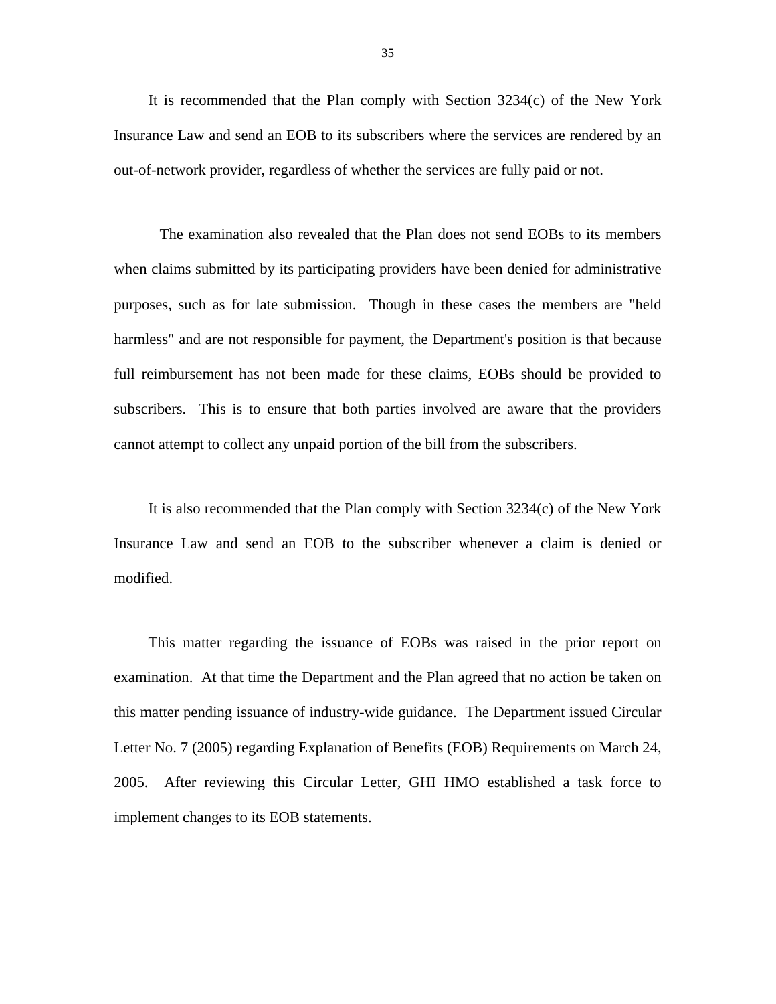It is recommended that the Plan comply with Section 3234(c) of the New York Insurance Law and send an EOB to its subscribers where the services are rendered by an out-of-network provider, regardless of whether the services are fully paid or not.

The examination also revealed that the Plan does not send EOBs to its members when claims submitted by its participating providers have been denied for administrative purposes, such as for late submission. Though in these cases the members are "held harmless" and are not responsible for payment, the Department's position is that because full reimbursement has not been made for these claims, EOBs should be provided to subscribers. This is to ensure that both parties involved are aware that the providers cannot attempt to collect any unpaid portion of the bill from the subscribers.

It is also recommended that the Plan comply with Section 3234(c) of the New York Insurance Law and send an EOB to the subscriber whenever a claim is denied or modified.

This matter regarding the issuance of EOBs was raised in the prior report on examination. At that time the Department and the Plan agreed that no action be taken on this matter pending issuance of industry-wide guidance. The Department issued Circular Letter No. 7 (2005) regarding Explanation of Benefits (EOB) Requirements on March 24, 2005. After reviewing this Circular Letter, GHI HMO established a task force to implement changes to its EOB statements.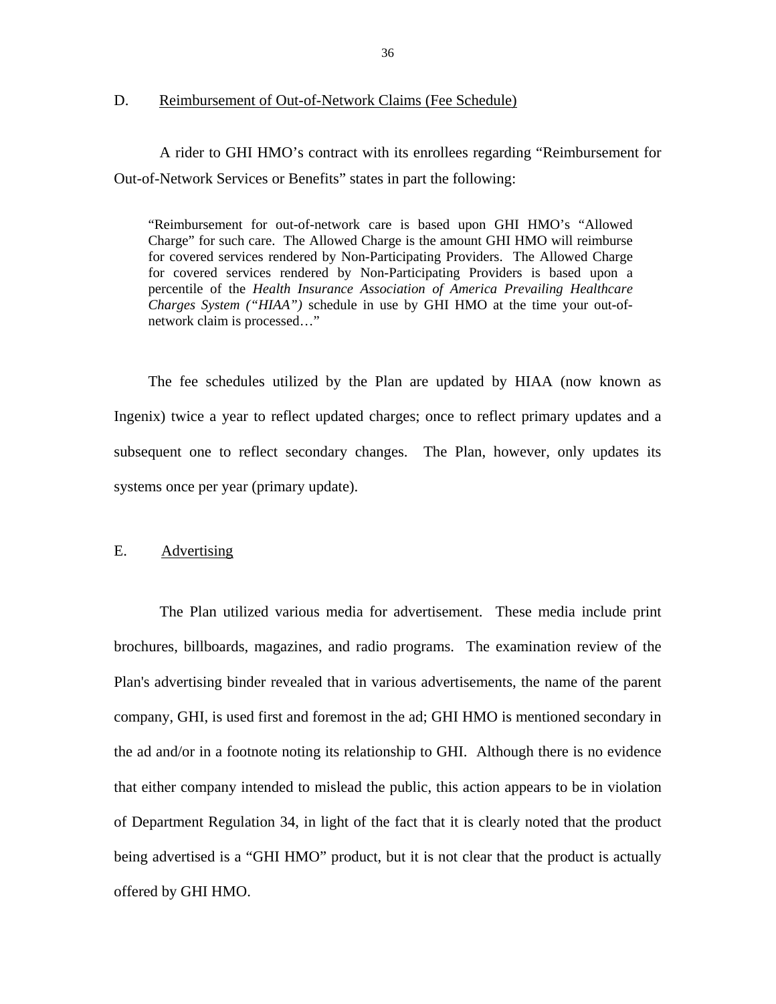#### <span id="page-37-0"></span>D. Reimbursement of Out-of-Network Claims (Fee Schedule)

A rider to GHI HMO's contract with its enrollees regarding "Reimbursement for Out-of-Network Services or Benefits" states in part the following:

"Reimbursement for out-of-network care is based upon GHI HMO's "Allowed Charge" for such care. The Allowed Charge is the amount GHI HMO will reimburse for covered services rendered by Non-Participating Providers. The Allowed Charge for covered services rendered by Non-Participating Providers is based upon a percentile of the *Health Insurance Association of America Prevailing Healthcare Charges System ("HIAA")* schedule in use by GHI HMO at the time your out-ofnetwork claim is processed…"

The fee schedules utilized by the Plan are updated by HIAA (now known as Ingenix) twice a year to reflect updated charges; once to reflect primary updates and a subsequent one to reflect secondary changes. The Plan, however, only updates its systems once per year (primary update).

#### E. Advertising

The Plan utilized various media for advertisement. These media include print brochures, billboards, magazines, and radio programs. The examination review of the Plan's advertising binder revealed that in various advertisements, the name of the parent company, GHI, is used first and foremost in the ad; GHI HMO is mentioned secondary in the ad and/or in a footnote noting its relationship to GHI. Although there is no evidence that either company intended to mislead the public, this action appears to be in violation of Department Regulation 34, in light of the fact that it is clearly noted that the product being advertised is a "GHI HMO" product, but it is not clear that the product is actually offered by GHI HMO.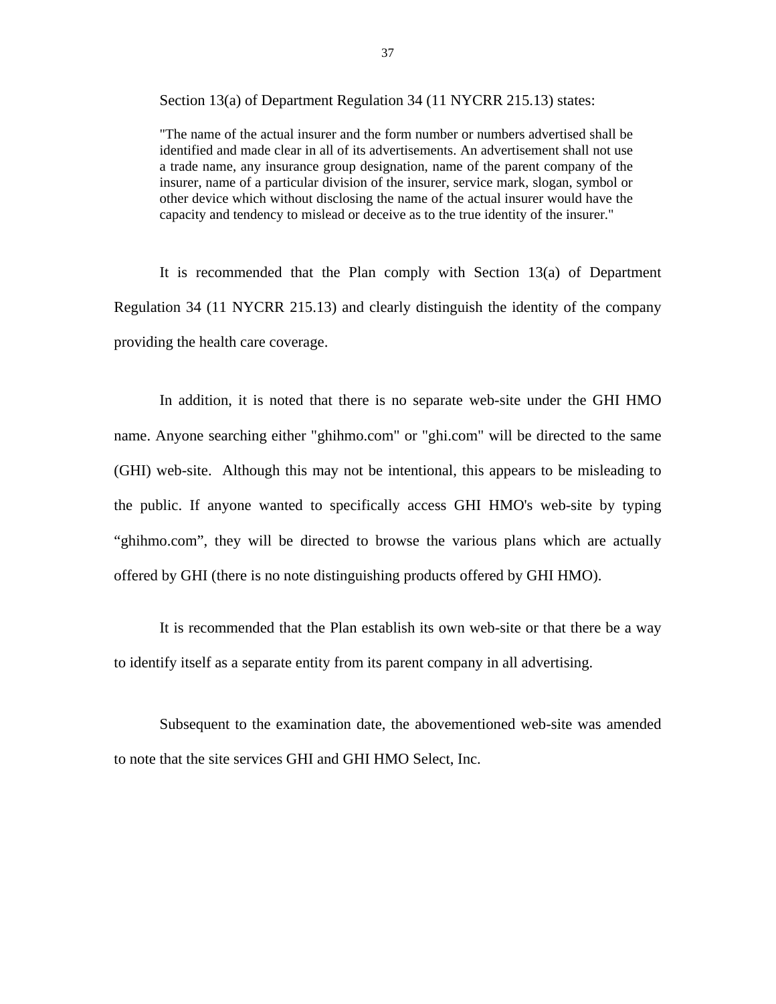Section 13(a) of Department Regulation 34 (11 NYCRR 215.13) states:

"The name of the actual insurer and the form number or numbers advertised shall be identified and made clear in all of its advertisements. An advertisement shall not use a trade name, any insurance group designation, name of the parent company of the insurer, name of a particular division of the insurer, service mark, slogan, symbol or other device which without disclosing the name of the actual insurer would have the capacity and tendency to mislead or deceive as to the true identity of the insurer."

It is recommended that the Plan comply with Section  $13(a)$  of Department Regulation 34 (11 NYCRR 215.13) and clearly distinguish the identity of the company providing the health care coverage.

In addition, it is noted that there is no separate web-site under the GHI HMO name. Anyone searching either ["ghihmo.com"](https://ghihmo.com) or "ghi.com" will be directed to the same (GHI) web-site. Although this may not be intentional, this appears to be misleading to the public. If anyone wanted to specifically access GHI HMO's web-site by typing ["ghihmo.com"](https://ghihmo.com), they will be directed to browse the various plans which are actually offered by GHI (there is no note distinguishing products offered by GHI HMO).

It is recommended that the Plan establish its own web-site or that there be a way to identify itself as a separate entity from its parent company in all advertising.

Subsequent to the examination date, the abovementioned web-site was amended to note that the site services GHI and GHI HMO Select, Inc.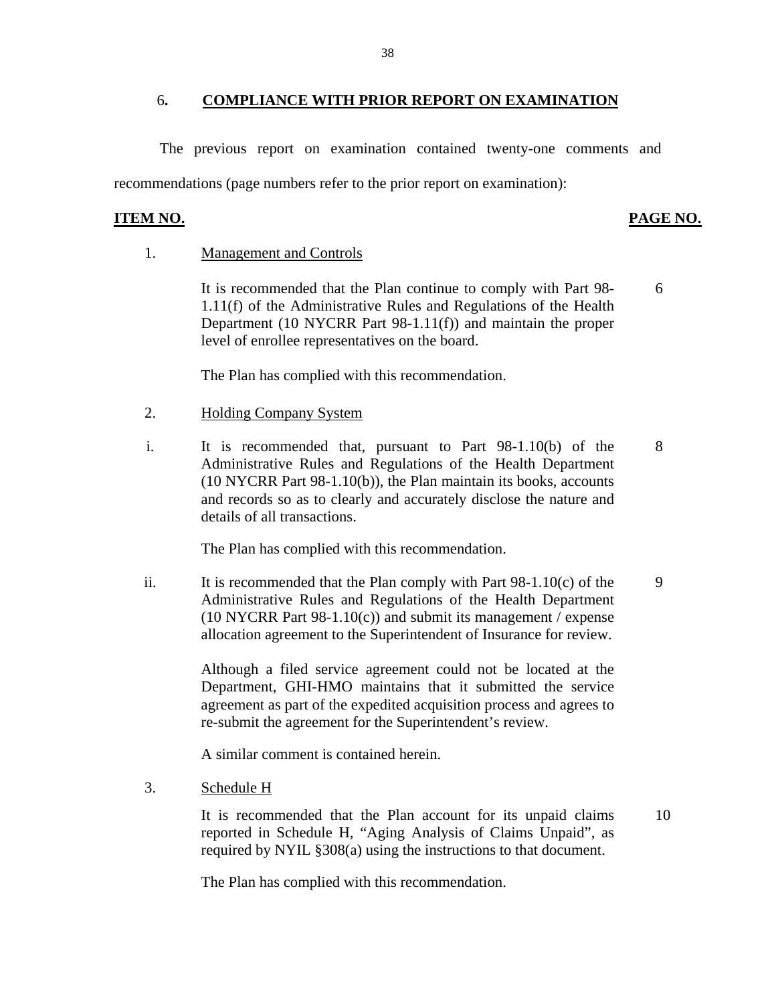#### 6**. COMPLIANCE WITH PRIOR REPORT ON EXAMINATION**

The previous report on examination contained twenty-one comments and recommendations (page numbers refer to the prior report on examination):

#### **ITEM NO.**

### **PAGE NO.**

6

10

#### **Management and Controls**

1. Management and Controls<br>It is recommended that the Plan continue to comply with Part 98-1.11(f) of the Administrative Rules and Regulations of the Health Department (10 NYCRR Part 98-1.11(f)) and maintain the proper level of enrollee representatives on the board.

The Plan has complied with this recommendation.

- **Holding Company System**
- 2. Holding Company System<br>
i. It is recommended that, pursuant to Part 98-1.10(b) of the Administrative Rules and Regulations of the Health Department (10 NYCRR Part 98-1.10(b)), the Plan maintain its books, accounts and records so as to clearly and accurately disclose the nature and details of all transactions. 8

The Plan has complied with this recommendation.

ii. It is recommended that the Plan comply with Part  $98-1.10(c)$  of the Administrative Rules and Regulations of the Health Department (10 NYCRR Part 98-1.10(c)) and submit its management / expense allocation agreement to the Superintendent of Insurance for review. 9

> Although a filed service agreement could not be located at the Department, GHI-HMO maintains that it submitted the service agreement as part of the expedited acquisition process and agrees to re-submit the agreement for the Superintendent's review.

A similar comment is contained herein.

3. Schedule H

It is recommended that the Plan account for its unpaid claims reported in Schedule H, "Aging Analysis of Claims Unpaid", as required by NYIL §308(a) using the instructions to that document.

The Plan has complied with this recommendation.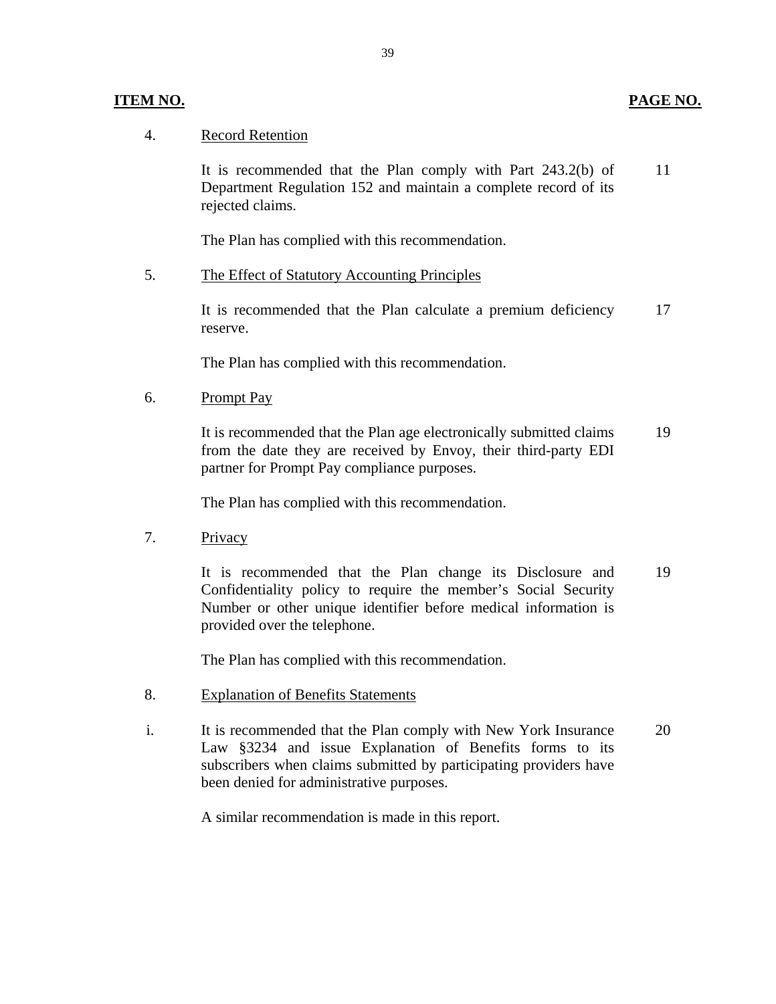#### **ITEM NO. PAGE NO.**

### **Record Retention**

4. Record Retention<br>It is recommended that the Plan comply with Part 243.2(b) of Department Regulation 152 and maintain a complete record of its rejected claims. 11

The Plan has complied with this recommendation.

#### The Effect of Statutory Accounting Principles

5. The Effect of Statutory Accounting Principles<br>It is recommended that the Plan calculate a premium deficiency reserve. 17

The Plan has complied with this recommendation.

#### **Prompt Pay**

6. Prompt Pay<br>It is recommended that the Plan age electronically submitted claims from the date they are received by Envoy, their third-party EDI partner for Prompt Pay compliance purposes. 19

The Plan has complied with this recommendation.

Privacy

7. Privacy<br>It is recommended that the Plan change its Disclosure and Confidentiality policy to require the member's Social Security Number or other unique identifier before medical information is provided over the telephone. 19

The Plan has complied with this recommendation.

- **Explanation of Benefits Statements**
- 8. Explanation of Benefits Statements<br>
i. It is recommended that the Plan comply with New York Insurance Law §3234 and issue Explanation of Benefits forms to its subscribers when claims submitted by participating providers have been denied for administrative purposes. 20

A similar recommendation is made in this report.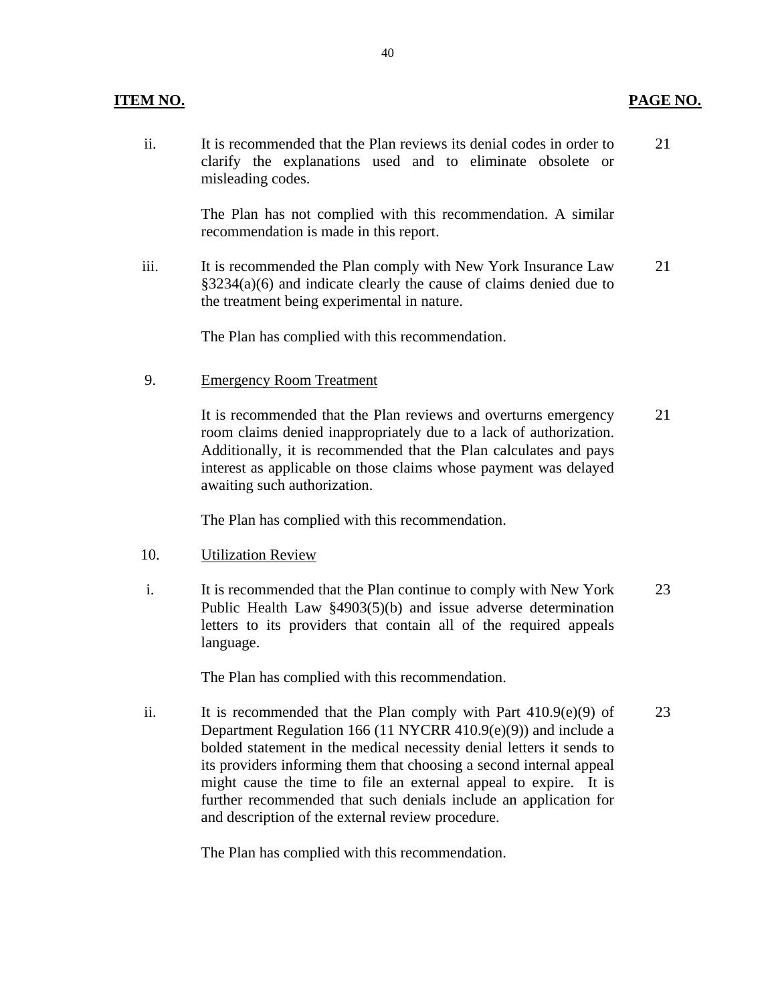#### **ITEM NO. PAGE NO.**

ii. It is recommended that the Plan reviews its denial codes in order to clarify the explanations used and to eliminate obsolete or misleading codes. 21

> The Plan has not complied with this recommendation. A similar recommendation is made in this report.

iii. It is recommended the Plan comply with New York Insurance Law §3234(a)(6) and indicate clearly the cause of claims denied due to the treatment being experimental in nature. 21

The Plan has complied with this recommendation.

**Emergency Room Treatment** 

9. Emergency Room Treatment<br>It is recommended that the Plan reviews and overturns emergency room claims denied inappropriately due to a lack of authorization. Additionally, it is recommended that the Plan calculates and pays interest as applicable on those claims whose payment was delayed awaiting such authorization. 21

The Plan has complied with this recommendation.

- **Utilization Review**
- 10. Utilization Review<br>i. It is recommended that the Plan continue to comply with New York Public Health Law §4903(5)(b) and issue adverse determination letters to its providers that contain all of the required appeals language. 23

The Plan has complied with this recommendation.

ii. It is recommended that the Plan comply with Part  $410.9(e)(9)$  of Department Regulation 166 (11 NYCRR 410.9(e)(9)) and include a bolded statement in the medical necessity denial letters it sends to its providers informing them that choosing a second internal appeal might cause the time to file an external appeal to expire. It is further recommended that such denials include an application for and description of the external review procedure. 23

The Plan has complied with this recommendation.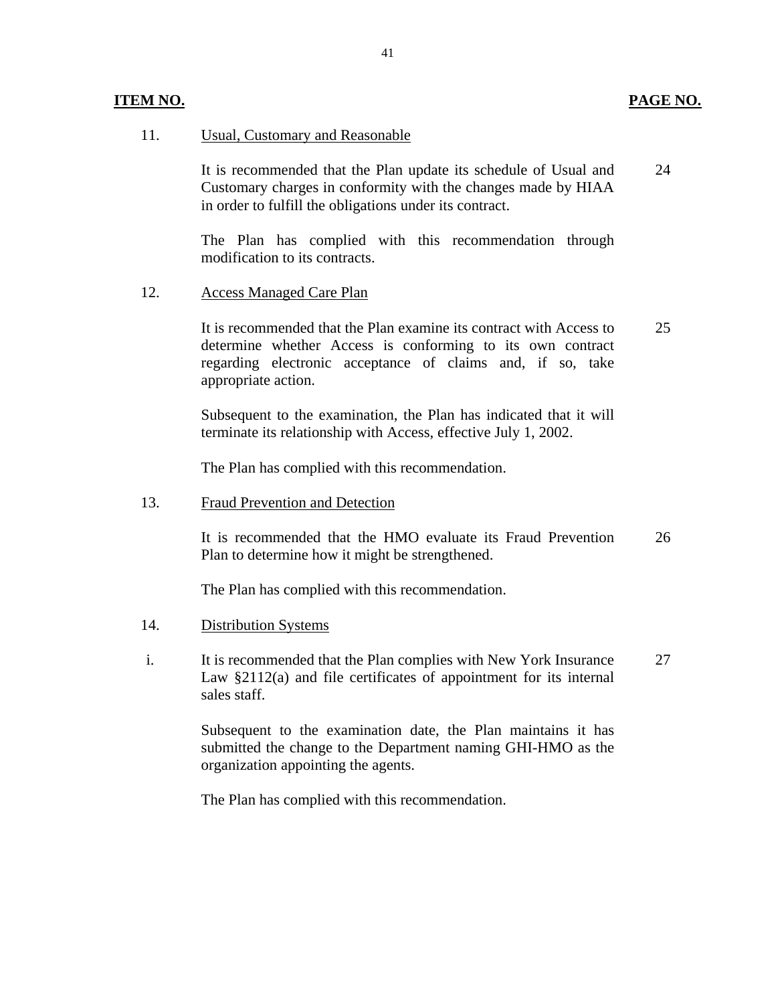#### Usual, Customary and Reasonable

11. Usual, Customary and Reasonable<br>It is recommended that the Plan update its schedule of Usual and Customary charges in conformity with the changes made by HIAA in order to fulfill the obligations under its contract. 24

> The Plan has complied with this recommendation through modification to its contracts.

#### **Access Managed Care Plan**

12. Access Managed Care Plan<br>It is recommended that the Plan examine its contract with Access to determine whether Access is conforming to its own contract regarding electronic acceptance of claims and, if so, take appropriate action. 25

> Subsequent to the examination, the Plan has indicated that it will terminate its relationship with Access, effective July 1, 2002.

The Plan has complied with this recommendation.

#### **Fraud Prevention and Detection**

13. Fraud Prevention and Detection<br>It is recommended that the HMO evaluate its Fraud Prevention Plan to determine how it might be strengthened. 26

The Plan has complied with this recommendation.

- **Distribution Systems**
- 14. Distribution Systems<br>i. It is recommended that the Plan complies with New York Insurance Law §2112(a) and file certificates of appointment for its internal sales staff. 27

Subsequent to the examination date, the Plan maintains it has submitted the change to the Department naming GHI-HMO as the organization appointing the agents.

The Plan has complied with this recommendation.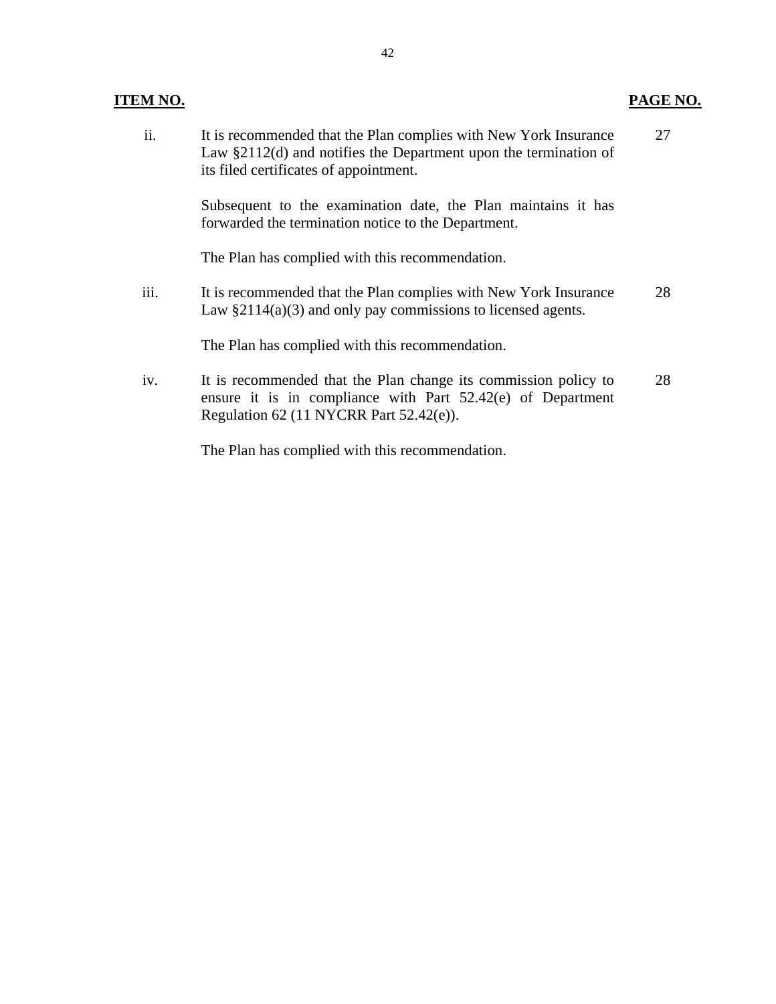# **ITEM NO. PAGE NO.**

| ii.  | It is recommended that the Plan complies with New York Insurance<br>Law $\S2112(d)$ and notifies the Department upon the termination of<br>its filed certificates of appointment. | 27 |
|------|-----------------------------------------------------------------------------------------------------------------------------------------------------------------------------------|----|
|      | Subsequent to the examination date, the Plan maintains it has<br>forwarded the termination notice to the Department.                                                              |    |
|      | The Plan has complied with this recommendation.                                                                                                                                   |    |
| iii. | It is recommended that the Plan complies with New York Insurance<br>Law $\S2114(a)(3)$ and only pay commissions to licensed agents.                                               | 28 |
|      | The Plan has complied with this recommendation.                                                                                                                                   |    |
| iv.  | It is recommended that the Plan change its commission policy to<br>ensure it is in compliance with Part 52.42(e) of Department<br>Regulation 62 (11 NYCRR Part 52.42(e)).         | 28 |
|      | The Plan has complied with this recommendation.                                                                                                                                   |    |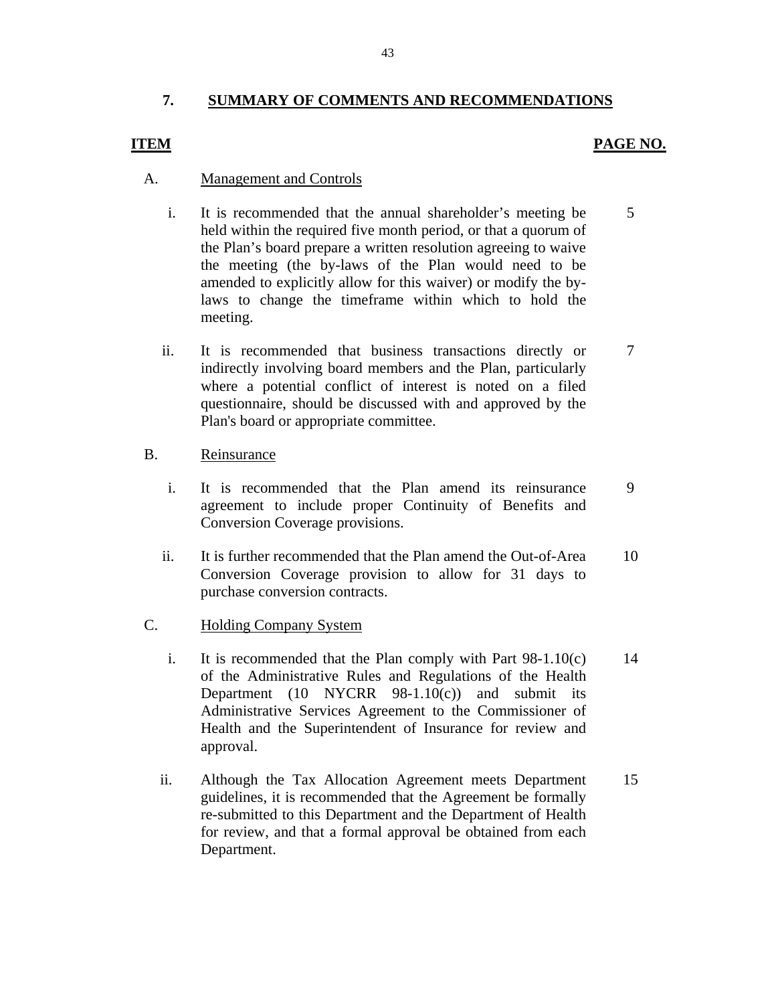### <span id="page-44-0"></span>**7. SUMMARY OF COMMENTS AND RECOMMENDATIONS**

#### **ITEM PAGE NO.**

#### A. Management and Controls

- i. It is recommended that the annual shareholder's meeting be 5 held within the required five month period, or that a quorum of the Plan's board prepare a written resolution agreeing to waive the meeting (the by-laws of the Plan would need to be amended to explicitly allow for this waiver) or modify the bylaws to change the timeframe within which to hold the meeting.
- ii. It is recommended that business transactions directly or 7 indirectly involving board members and the Plan, particularly where a potential conflict of interest is noted on a filed questionnaire, should be discussed with and approved by the Plan's board or appropriate committee.

#### B. Reinsurance

- i. It is recommended that the Plan amend its reinsurance 9 agreement to include proper Continuity of Benefits and Conversion Coverage provisions.
- ii. It is further recommended that the Plan amend the Out-of-Area 10 Conversion Coverage provision to allow for 31 days to purchase conversion contracts.

#### C. Holding Company System

- i. It is recommended that the Plan comply with Part  $98-1.10(c)$  14 of the Administrative Rules and Regulations of the Health Department (10 NYCRR 98-1.10(c)) and submit its Administrative Services Agreement to the Commissioner of Health and the Superintendent of Insurance for review and approval.
- ii. Although the Tax Allocation Agreement meets Department 15 guidelines, it is recommended that the Agreement be formally re-submitted to this Department and the Department of Health for review, and that a formal approval be obtained from each Department.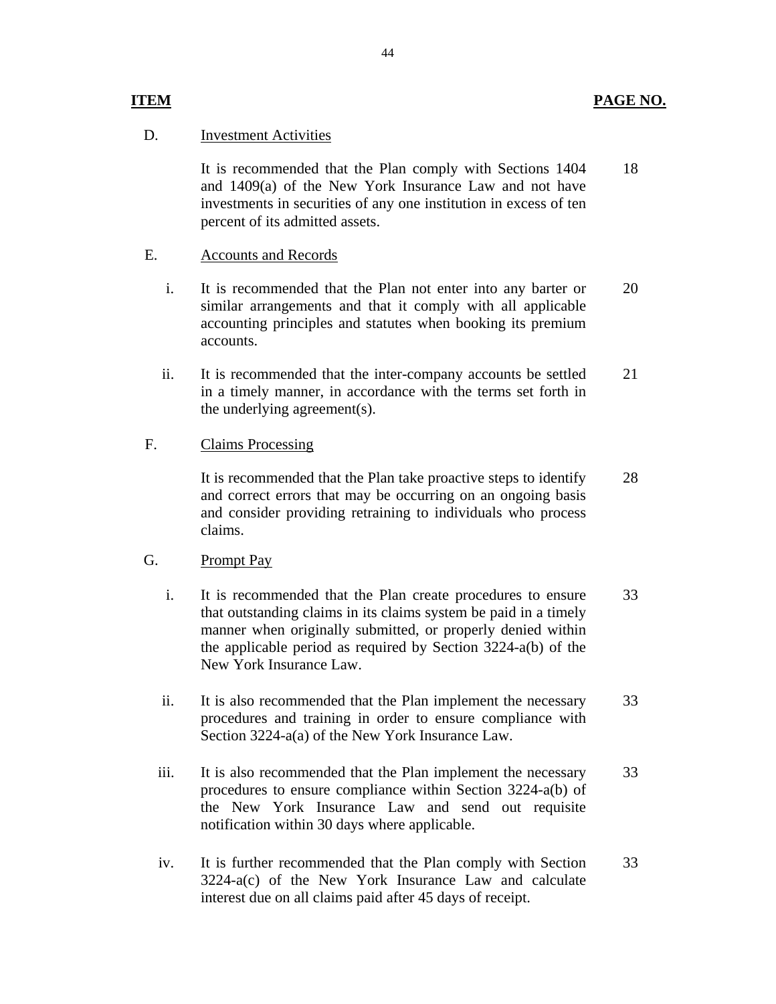#### **Investment Activities**

 **ITEM** 

D. Investment Activities<br>It is recommended that the Plan comply with Sections 1404 and 1409(a) of the New York Insurance Law and not have investments in securities of any one institution in excess of ten percent of its admitted assets. 18

#### E. Accounts and Records

- i. It is recommended that the Plan not enter into any barter or similar arrangements and that it comply with all applicable accounting principles and statutes when booking its premium accounts. 20
- ii. It is recommended that the inter-company accounts be settled in a timely manner, in accordance with the terms set forth in the underlying agreement(s). 21

#### **Claims Processing**

F. Claims Processing<br>It is recommended that the Plan take proactive steps to identify and correct errors that may be occurring on an ongoing basis and consider providing retraining to individuals who process claims. 28

#### G. Prompt Pay

- i. It is recommended that the Plan create procedures to ensure that outstanding claims in its claims system be paid in a timely manner when originally submitted, or properly denied within the applicable period as required by Section 3224-a(b) of the New York Insurance Law. 33
- ii. It is also recommended that the Plan implement the necessary procedures and training in order to ensure compliance with Section 3224-a(a) of the New York Insurance Law. 33
- iii. It is also recommended that the Plan implement the necessary procedures to ensure compliance within Section 3224-a(b) of the New York Insurance Law and send out requisite notification within 30 days where applicable. 33
- iv. It is further recommended that the Plan comply with Section 3224-a(c) of the New York Insurance Law and calculate interest due on all claims paid after 45 days of receipt. 33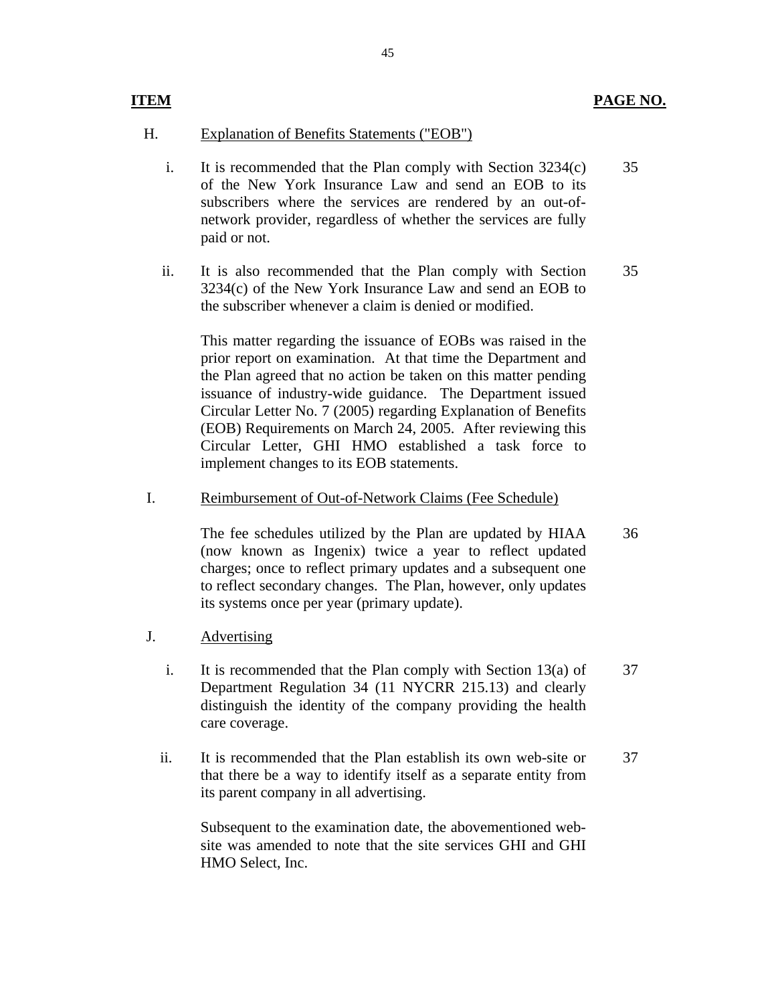#### **ITEM**

#### H. Explanation of Benefits Statements ("EOB")

- i. It is recommended that the Plan comply with Section 3234(c) of the New York Insurance Law and send an EOB to its subscribers where the services are rendered by an out-ofnetwork provider, regardless of whether the services are fully paid or not. 35
- ii. It is also recommended that the Plan comply with Section 3234(c) of the New York Insurance Law and send an EOB to the subscriber whenever a claim is denied or modified. 35

This matter regarding the issuance of EOBs was raised in the prior report on examination. At that time the Department and the Plan agreed that no action be taken on this matter pending issuance of industry-wide guidance. The Department issued Circular Letter No. 7 (2005) regarding Explanation of Benefits (EOB) Requirements on March 24, 2005. After reviewing this Circular Letter, GHI HMO established a task force to implement changes to its EOB statements.

# Reimbursement of Out-of-Network Claims (Fee Schedule) I. Reimbursement of Out-of-Network Claims (Fee Schedule)<br>The fee schedules utilized by the Plan are updated by HIAA

(now known as Ingenix) twice a year to reflect updated charges; once to reflect primary updates and a subsequent one to reflect secondary changes. The Plan, however, only updates its systems once per year (primary update). 36

#### J. Advertising

- i. It is recommended that the Plan comply with Section 13(a) of Department Regulation 34 (11 NYCRR 215.13) and clearly distinguish the identity of the company providing the health care coverage. 37
- ii. It is recommended that the Plan establish its own web-site or that there be a way to identify itself as a separate entity from its parent company in all advertising. 37

Subsequent to the examination date, the abovementioned website was amended to note that the site services GHI and GHI HMO Select, Inc.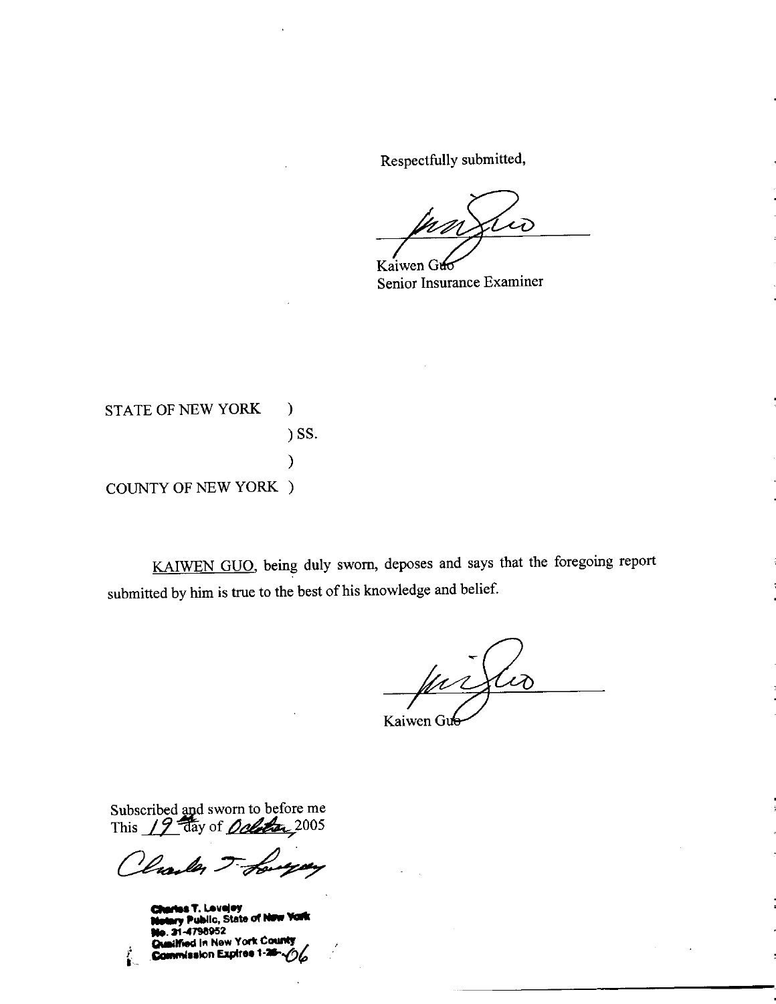Respectfully submitted,

W

Kaiwen Guc Senior Insurance Examiner

**STATE OF NEW YORK**  $\mathcal{E}$ ) SS.  $\mathcal{E}$ **COUNTY OF NEW YORK )** 

KAIWEN GUO, being duly sworn, deposes and says that the foregoing report submitted by him is true to the best of his knowledge and belief.

(pr)  $\mathcal{L}$ Kaiwen Gu

Subscribed and sworn to before me<br>This 19 day of *Ochean* 2005

Vale For

is T. Levejey y Public, State of New 21-4798952 **Ged in New York County** wwission Expires 1-26-